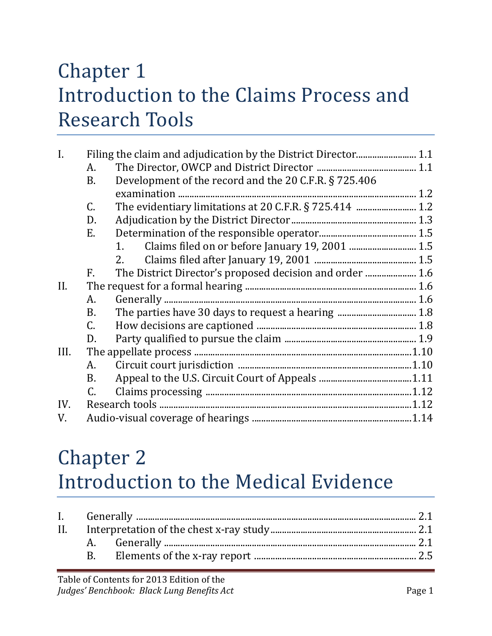#### Chapter 1 Introduction to the Claims Process and Research Tools

| $\mathbf{I}$ . |                 |                                                          |  |
|----------------|-----------------|----------------------------------------------------------|--|
|                | A.              |                                                          |  |
|                | <b>B.</b>       | Development of the record and the 20 C.F.R. § 725.406    |  |
|                |                 |                                                          |  |
|                | C.              |                                                          |  |
|                | D.              |                                                          |  |
|                | E.              |                                                          |  |
|                |                 | 1.                                                       |  |
|                |                 | 2.                                                       |  |
|                | F.              | The District Director's proposed decision and order  1.6 |  |
| II.            |                 |                                                          |  |
|                | A.              |                                                          |  |
|                | <b>B.</b>       |                                                          |  |
|                | $\mathcal{C}$ . |                                                          |  |
|                | D.              |                                                          |  |
| III.           |                 |                                                          |  |
|                | А.              |                                                          |  |
|                | В.              |                                                          |  |
|                | C.              |                                                          |  |
| IV.            |                 |                                                          |  |
| V.             |                 |                                                          |  |
|                |                 |                                                          |  |

## Chapter 2 Introduction to the Medical Evidence

| $\mathbf{R}$ |  |  |  |
|--------------|--|--|--|
|              |  |  |  |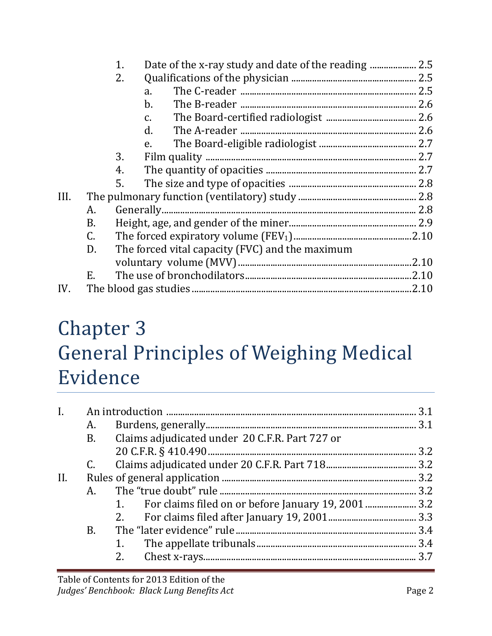|           | 1. |                |                                                 |
|-----------|----|----------------|-------------------------------------------------|
|           | 2. |                |                                                 |
|           |    | a.             |                                                 |
|           |    | $\mathbf{b}$ . |                                                 |
|           |    | C.             |                                                 |
|           |    | d.             |                                                 |
|           |    | e.             |                                                 |
|           | 3. |                |                                                 |
|           | 4. |                |                                                 |
|           | 5. |                |                                                 |
|           |    |                |                                                 |
| А.        |    |                |                                                 |
| <b>B.</b> |    |                |                                                 |
| C.        |    |                |                                                 |
| D.        |    |                |                                                 |
|           |    |                |                                                 |
| Ε.        |    |                |                                                 |
|           |    |                |                                                 |
|           |    |                | The forced vital capacity (FVC) and the maximum |

#### Chapter 3 General Principles of Weighing Medical Evidence

|     | А. |                                                        |  |
|-----|----|--------------------------------------------------------|--|
|     | B. | Claims adjudicated under 20 C.F.R. Part 727 or         |  |
|     |    |                                                        |  |
|     |    |                                                        |  |
| II. |    |                                                        |  |
|     | А. |                                                        |  |
|     |    | 1. For claims filed on or before January 19, 2001  3.2 |  |
|     |    | 2.                                                     |  |
|     | B. |                                                        |  |
|     |    | 1.                                                     |  |
|     |    | 2.                                                     |  |
|     |    |                                                        |  |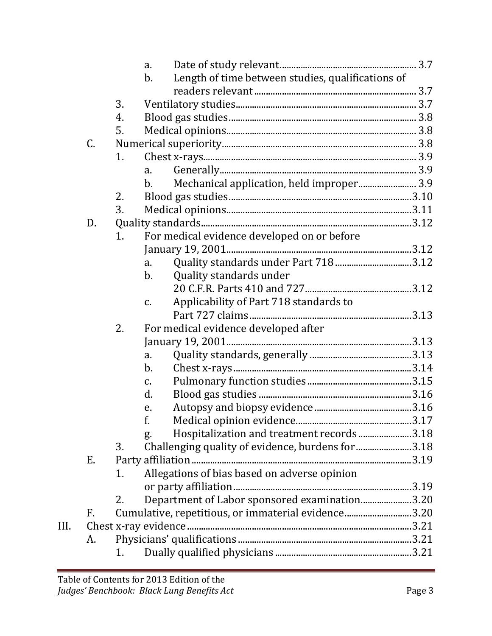|      |    |    | a.                                                         |  |
|------|----|----|------------------------------------------------------------|--|
|      |    |    | Length of time between studies, qualifications of<br>$b$ . |  |
|      |    |    |                                                            |  |
|      |    | 3. |                                                            |  |
|      |    | 4. |                                                            |  |
|      |    | 5. |                                                            |  |
|      | C. |    |                                                            |  |
|      |    | 1. |                                                            |  |
|      |    |    | a.                                                         |  |
|      |    |    | Mechanical application, held improper 3.9<br>b.            |  |
|      |    | 2. |                                                            |  |
|      |    | 3. |                                                            |  |
|      | D. |    |                                                            |  |
|      |    | 1. | For medical evidence developed on or before                |  |
|      |    |    |                                                            |  |
|      |    |    | a.                                                         |  |
|      |    |    | Quality standards under<br>b.                              |  |
|      |    |    |                                                            |  |
|      |    |    | Applicability of Part 718 standards to<br>$\mathcal{C}$ .  |  |
|      |    |    |                                                            |  |
|      |    | 2. | For medical evidence developed after                       |  |
|      |    |    |                                                            |  |
|      |    |    | a.                                                         |  |
|      |    |    | $\mathbf b$ .                                              |  |
|      |    |    | $C_{\bullet}$                                              |  |
|      |    |    | d.                                                         |  |
|      |    |    | e.                                                         |  |
|      |    |    | f.                                                         |  |
|      |    |    | Hospitalization and treatment records 3.18<br>g.           |  |
|      |    | 3. | Challenging quality of evidence, burdens for 3.18          |  |
|      | Е. |    |                                                            |  |
|      |    | 1. | Allegations of bias based on adverse opinion               |  |
|      |    |    |                                                            |  |
|      |    | 2. | Department of Labor sponsored examination3.20              |  |
|      | F. |    | Cumulative, repetitious, or immaterial evidence3.20        |  |
| III. |    |    |                                                            |  |
|      | A. |    |                                                            |  |
|      |    | 1. |                                                            |  |
|      |    |    |                                                            |  |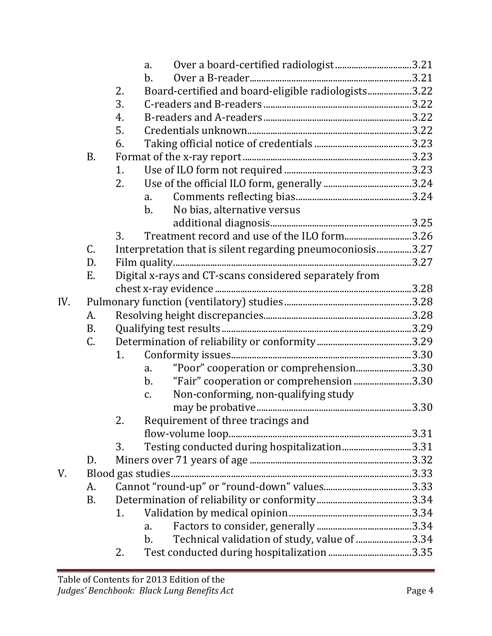|     |           |    | a.                                                            |  |
|-----|-----------|----|---------------------------------------------------------------|--|
|     |           |    | $\mathbf{b}$ .                                                |  |
|     |           | 2. | Board-certified and board-eligible radiologists3.22           |  |
|     |           | 3. |                                                               |  |
|     |           | 4. |                                                               |  |
|     |           | 5. |                                                               |  |
|     |           | 6. |                                                               |  |
|     | <b>B.</b> |    |                                                               |  |
|     |           | 1. |                                                               |  |
|     |           | 2. |                                                               |  |
|     |           |    | a.                                                            |  |
|     |           |    | No bias, alternative versus<br>$b_{\cdot}$                    |  |
|     |           |    |                                                               |  |
|     |           | 3. | Treatment record and use of the ILO form3.26                  |  |
|     | C.        |    | Interpretation that is silent regarding pneumoconiosis3.27    |  |
|     | D.        |    |                                                               |  |
|     | E.        |    | Digital x-rays and CT-scans considered separately from        |  |
|     |           |    |                                                               |  |
| IV. |           |    |                                                               |  |
|     | A.        |    |                                                               |  |
|     | <b>B.</b> |    |                                                               |  |
|     | C.        |    |                                                               |  |
|     |           | 1. |                                                               |  |
|     |           |    | "Poor" cooperation or comprehension3.30<br>a.                 |  |
|     |           |    | "Fair" cooperation or comprehension 3.30<br>$\mathbf b$ .     |  |
|     |           |    | Non-conforming, non-qualifying study<br>$\mathcal{C}$ .       |  |
|     |           |    |                                                               |  |
|     |           | 2. | Requirement of three tracings and                             |  |
|     |           |    |                                                               |  |
|     |           | 3. | Testing conducted during hospitalization3.31                  |  |
|     | D.        |    |                                                               |  |
| V.  |           |    | Blood gas studies                                             |  |
|     | A.        |    |                                                               |  |
|     | <b>B.</b> |    |                                                               |  |
|     |           | 1. |                                                               |  |
|     |           |    | a.                                                            |  |
|     |           |    | Technical validation of study, value of 3.34<br>$\mathbf b$ . |  |
|     |           | 2. |                                                               |  |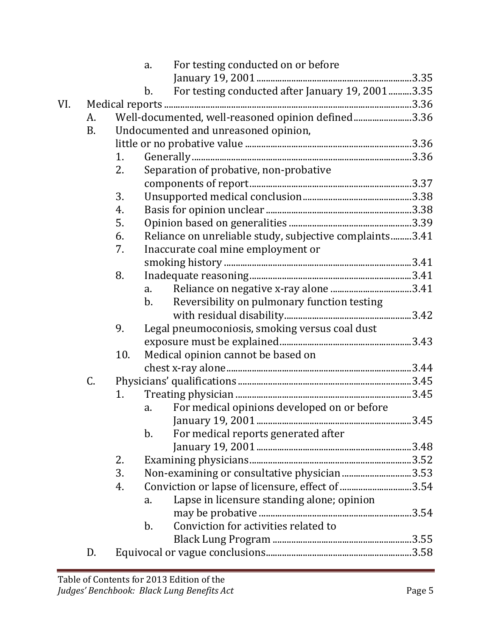|     |           |     | a.             | For testing conducted on or before                      |  |
|-----|-----------|-----|----------------|---------------------------------------------------------|--|
|     |           |     |                |                                                         |  |
|     |           |     | $b$ .          | For testing conducted after January 19, 20013.35        |  |
| VI. |           |     |                |                                                         |  |
|     | A.        |     |                | Well-documented, well-reasoned opinion defined3.36      |  |
|     | <b>B.</b> |     |                | Undocumented and unreasoned opinion,                    |  |
|     |           |     |                |                                                         |  |
|     |           | 1.  |                |                                                         |  |
|     |           | 2.  |                | Separation of probative, non-probative                  |  |
|     |           |     |                |                                                         |  |
|     |           | 3.  |                |                                                         |  |
|     |           | 4.  |                |                                                         |  |
|     |           | 5.  |                |                                                         |  |
|     |           | 6.  |                | Reliance on unreliable study, subjective complaints3.41 |  |
|     |           | 7.  |                | Inaccurate coal mine employment or                      |  |
|     |           |     |                |                                                         |  |
|     |           | 8.  |                |                                                         |  |
|     |           |     | a.             |                                                         |  |
|     |           |     | $\mathbf{b}$ . | Reversibility on pulmonary function testing             |  |
|     |           |     |                |                                                         |  |
|     |           | 9.  |                | Legal pneumoconiosis, smoking versus coal dust          |  |
|     |           |     |                |                                                         |  |
|     |           | 10. |                | Medical opinion cannot be based on                      |  |
|     |           |     |                |                                                         |  |
|     | C.        |     |                |                                                         |  |
|     |           | 1.  |                |                                                         |  |
|     |           |     | a.             | For medical opinions developed on or before             |  |
|     |           |     |                |                                                         |  |
|     |           |     | $\mathbf b$ .  | For medical reports generated after                     |  |
|     |           |     |                |                                                         |  |
|     |           | 2.  |                |                                                         |  |
|     |           | 3.  |                | Non-examining or consultative physician 3.53            |  |
|     |           | 4.  |                | Conviction or lapse of licensure, effect of 3.54        |  |
|     |           |     | a.             | Lapse in licensure standing alone; opinion              |  |
|     |           |     |                |                                                         |  |
|     |           |     | $\mathbf b$ .  | Conviction for activities related to                    |  |
|     |           |     |                |                                                         |  |
|     | D.        |     |                |                                                         |  |
|     |           |     |                |                                                         |  |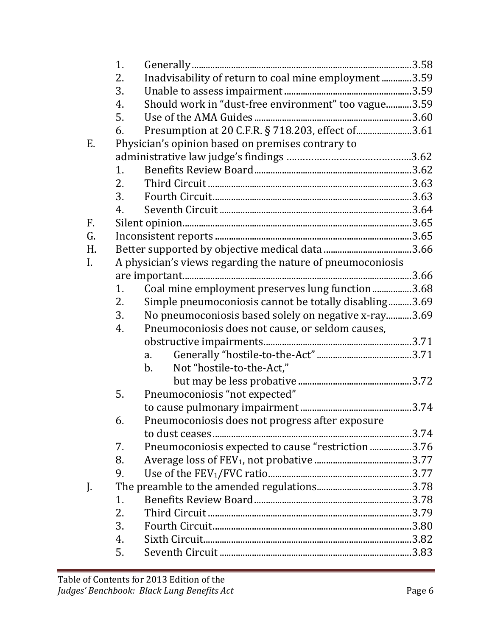|    | 1. |                                                            |  |
|----|----|------------------------------------------------------------|--|
|    | 2. | Inadvisability of return to coal mine employment3.59       |  |
|    | 3. |                                                            |  |
|    | 4. | Should work in "dust-free environment" too vague3.59       |  |
|    | 5. |                                                            |  |
|    | 6. | Presumption at 20 C.F.R. § 718.203, effect of 3.61         |  |
| Ε. |    | Physician's opinion based on premises contrary to          |  |
|    |    |                                                            |  |
|    | 1. |                                                            |  |
|    | 2. |                                                            |  |
|    | 3. |                                                            |  |
|    | 4. |                                                            |  |
| F. |    |                                                            |  |
| G. |    |                                                            |  |
| Н. |    |                                                            |  |
| I. |    | A physician's views regarding the nature of pneumoconiosis |  |
|    |    |                                                            |  |
|    | 1. | Coal mine employment preserves lung function3.68           |  |
|    | 2. | Simple pneumoconiosis cannot be totally disabling3.69      |  |
|    | 3. | No pneumoconiosis based solely on negative x-ray3.69       |  |
|    | 4. | Pneumoconiosis does not cause, or seldom causes,           |  |
|    |    |                                                            |  |
|    |    | a.                                                         |  |
|    |    | Not "hostile-to-the-Act,"<br>$\mathbf{b}$ .                |  |
|    |    |                                                            |  |
|    | 5. | Pneumoconiosis "not expected"                              |  |
|    |    |                                                            |  |
|    | 6. | Pneumoconiosis does not progress after exposure            |  |
|    |    |                                                            |  |
|    | 7. | Pneumoconiosis expected to cause "restriction 3.76         |  |
|    | 8. |                                                            |  |
|    | 9. |                                                            |  |
| J. |    |                                                            |  |
|    | 1. |                                                            |  |
|    | 2. |                                                            |  |
|    | 3. |                                                            |  |
|    | 4. |                                                            |  |
|    | 5. |                                                            |  |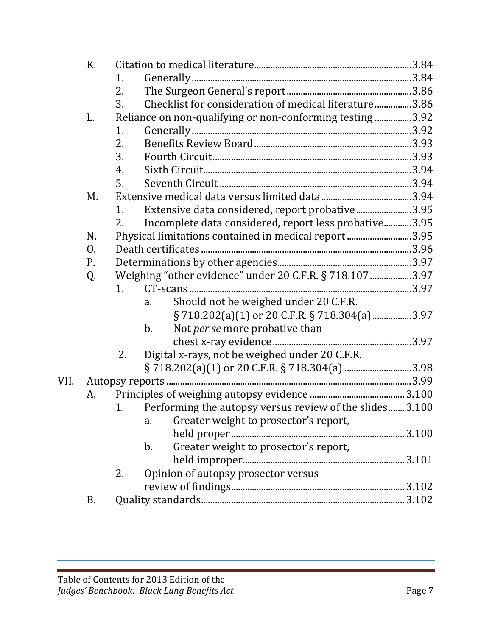|      | К. |    |                                                          |  |
|------|----|----|----------------------------------------------------------|--|
|      |    | 1. |                                                          |  |
|      |    | 2. |                                                          |  |
|      |    | 3. | Checklist for consideration of medical literature3.86    |  |
|      | L. |    | Reliance on non-qualifying or non-conforming testing3.92 |  |
|      |    | 1. |                                                          |  |
|      |    | 2. |                                                          |  |
|      |    | 3. |                                                          |  |
|      |    | 4. |                                                          |  |
|      |    | 5. |                                                          |  |
|      | М. |    |                                                          |  |
|      |    | 1. | Extensive data considered, report probative3.95          |  |
|      |    | 2. | Incomplete data considered, report less probative3.95    |  |
|      | N. |    | Physical limitations contained in medical report3.95     |  |
|      | 0. |    |                                                          |  |
|      | Ρ. |    |                                                          |  |
|      | Q. |    | Weighing "other evidence" under 20 C.F.R. § 718.107 3.97 |  |
|      |    | 1. |                                                          |  |
|      |    |    | Should not be weighed under 20 C.F.R.<br>a.              |  |
|      |    |    | § 718.202(a)(1) or 20 C.F.R. § 718.304(a) 3.97           |  |
|      |    |    | Not per se more probative than<br>$b$ .                  |  |
|      |    |    |                                                          |  |
|      |    | 2. | Digital x-rays, not be weighed under 20 C.F.R.           |  |
|      |    |    |                                                          |  |
| VII. |    |    |                                                          |  |
|      | A. |    |                                                          |  |
|      |    | 1. | Performing the autopsy versus review of the slides3.100  |  |
|      |    |    | Greater weight to prosector's report,<br>a.              |  |
|      |    |    |                                                          |  |
|      |    |    | Greater weight to prosector's report,<br>$b$ .           |  |
|      |    |    |                                                          |  |
|      |    | 2. | Opinion of autopsy prosector versus                      |  |
|      |    |    |                                                          |  |
|      | B. |    |                                                          |  |
|      |    |    |                                                          |  |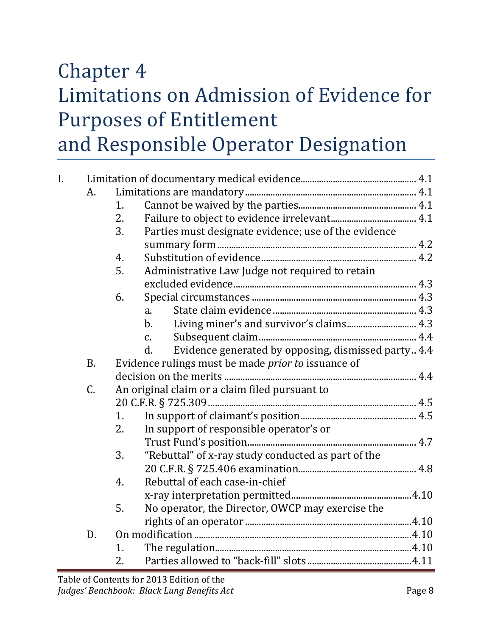#### Chapter 4 Limitations on Admission of Evidence for Purposes of Entitlement and Responsible Operator Designation

| I. |           |    |                                                                        |  |
|----|-----------|----|------------------------------------------------------------------------|--|
|    | А.        |    |                                                                        |  |
|    |           | 1. |                                                                        |  |
|    |           | 2. |                                                                        |  |
|    |           | 3. | Parties must designate evidence; use of the evidence                   |  |
|    |           |    |                                                                        |  |
|    |           | 4. |                                                                        |  |
|    |           | 5. | Administrative Law Judge not required to retain                        |  |
|    |           |    |                                                                        |  |
|    |           | 6. |                                                                        |  |
|    |           |    | $\mathbf{a}$ .                                                         |  |
|    |           |    | $b$ .                                                                  |  |
|    |           |    | $\mathcal{C}$ .                                                        |  |
|    |           |    | Evidence generated by opposing, dismissed party  4.4<br>$\mathbf{d}$ . |  |
|    | <b>B.</b> |    | Evidence rulings must be made <i>prior to</i> issuance of              |  |
|    |           |    |                                                                        |  |
|    | C.        |    | An original claim or a claim filed pursuant to                         |  |
|    |           |    |                                                                        |  |
|    |           | 1. |                                                                        |  |
|    |           | 2. | In support of responsible operator's or                                |  |
|    |           |    |                                                                        |  |
|    |           | 3. | "Rebuttal" of x-ray study conducted as part of the                     |  |
|    |           |    |                                                                        |  |
|    |           | 4. | Rebuttal of each case-in-chief                                         |  |
|    |           |    |                                                                        |  |
|    |           | 5. | No operator, the Director, OWCP may exercise the                       |  |
|    |           |    |                                                                        |  |
|    | D.        |    |                                                                        |  |
|    |           | 1. |                                                                        |  |
|    |           | 2. |                                                                        |  |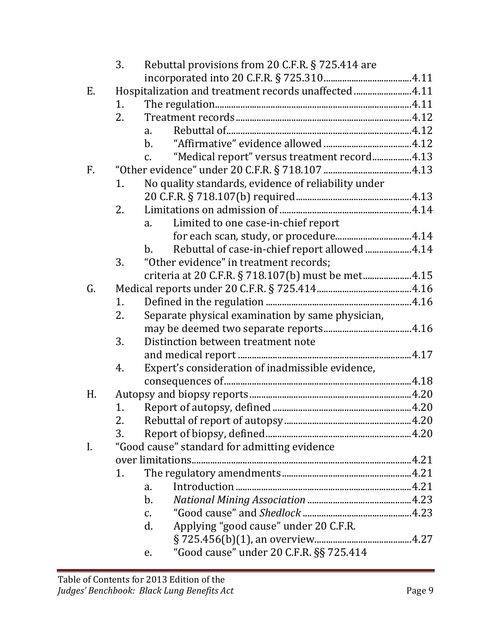|                | 3. | Rebuttal provisions from 20 C.F.R. § 725.414 are                 |  |
|----------------|----|------------------------------------------------------------------|--|
|                |    |                                                                  |  |
| E.             |    | Hospitalization and treatment records unaffected 4.11            |  |
|                | 1. |                                                                  |  |
|                | 2. |                                                                  |  |
|                |    | a.                                                               |  |
|                |    | $b_{-}$                                                          |  |
|                |    | "Medical report" versus treatment record4.13<br>$C_{\bullet}$    |  |
| F.             |    |                                                                  |  |
|                | 1. | No quality standards, evidence of reliability under              |  |
|                |    |                                                                  |  |
|                | 2. |                                                                  |  |
|                |    | Limited to one case-in-chief report<br>a.                        |  |
|                |    |                                                                  |  |
|                |    | Rebuttal of case-in-chief report allowed  4.14<br>$\mathbf{b}$ . |  |
|                | 3. | "Other evidence" in treatment records;                           |  |
|                |    | criteria at 20 C.F.R. § 718.107(b) must be met4.15               |  |
| G.             |    |                                                                  |  |
|                | 1. |                                                                  |  |
|                | 2. | Separate physical examination by same physician,                 |  |
|                |    |                                                                  |  |
|                | 3. | Distinction between treatment note                               |  |
|                |    |                                                                  |  |
|                | 4. | Expert's consideration of inadmissible evidence,                 |  |
|                |    |                                                                  |  |
| H <sub>r</sub> |    |                                                                  |  |
|                | 1. |                                                                  |  |
|                | 2. |                                                                  |  |
|                | 3. |                                                                  |  |
| $\mathbf{I}$ . |    | "Good cause" standard for admitting evidence                     |  |
|                |    |                                                                  |  |
|                | 1. |                                                                  |  |
|                |    | a.                                                               |  |
|                |    | $\mathbf b$ .                                                    |  |
|                |    | C.                                                               |  |
|                |    | Applying "good cause" under 20 C.F.R.<br>d.                      |  |
|                |    |                                                                  |  |
|                |    | "Good cause" under 20 C.F.R. §§ 725.414<br>e.                    |  |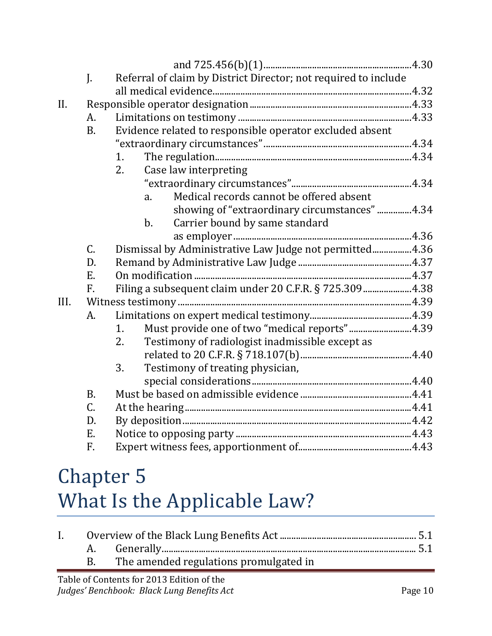|      | J.          | Referral of claim by District Director; not required to include |  |
|------|-------------|-----------------------------------------------------------------|--|
|      |             |                                                                 |  |
| II.  |             |                                                                 |  |
|      | A.          |                                                                 |  |
|      | <b>B.</b>   | Evidence related to responsible operator excluded absent        |  |
|      |             |                                                                 |  |
|      |             | 1.                                                              |  |
|      |             | 2.<br>Case law interpreting                                     |  |
|      |             |                                                                 |  |
|      |             | Medical records cannot be offered absent<br>a.                  |  |
|      |             | showing of "extraordinary circumstances" 4.34                   |  |
|      |             | Carrier bound by same standard<br>$\mathbf b$ .                 |  |
|      |             |                                                                 |  |
|      | $C_{\cdot}$ | Dismissal by Administrative Law Judge not permitted4.36         |  |
|      | D.          |                                                                 |  |
|      | E.          |                                                                 |  |
|      | F.          | Filing a subsequent claim under 20 C.F.R. § 725.3094.38         |  |
| III. |             |                                                                 |  |
|      | A.          |                                                                 |  |
|      |             | Must provide one of two "medical reports"4.39<br>1.             |  |
|      |             | 2.<br>Testimony of radiologist inadmissible except as           |  |
|      |             |                                                                 |  |
|      |             | 3.<br>Testimony of treating physician,                          |  |
|      |             |                                                                 |  |
|      | <b>B.</b>   |                                                                 |  |
|      | $C_{\cdot}$ |                                                                 |  |
|      | D.          |                                                                 |  |
|      | E.          |                                                                 |  |
|      | F.          |                                                                 |  |

#### Chapter 5 What Is the Applicable Law?

|  | The amended regulations promulgated in |  |
|--|----------------------------------------|--|
|  |                                        |  |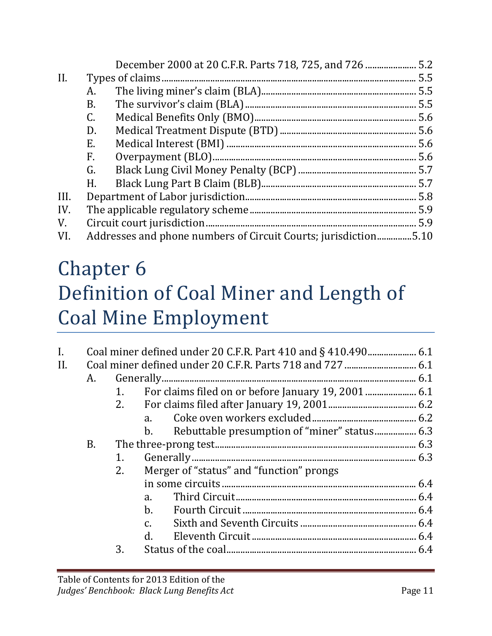| II.  |    |                                                                 |  |
|------|----|-----------------------------------------------------------------|--|
|      | A. |                                                                 |  |
|      | B. |                                                                 |  |
|      | C. |                                                                 |  |
|      | D. |                                                                 |  |
|      | E. |                                                                 |  |
|      | F. |                                                                 |  |
|      | G. |                                                                 |  |
|      | H. |                                                                 |  |
| III. |    |                                                                 |  |
| IV.  |    |                                                                 |  |
| V.   |    |                                                                 |  |
| VI.  |    | Addresses and phone numbers of Circuit Courts; jurisdiction5.10 |  |

#### Chapter 6 Definition of Coal Miner and Length of Coal Mine Employment

| $\mathbf{I}$ . |    |    |                                                                |  |
|----------------|----|----|----------------------------------------------------------------|--|
| II.            |    |    |                                                                |  |
|                | А. |    |                                                                |  |
|                |    | 1. |                                                                |  |
|                |    | 2. |                                                                |  |
|                |    |    | $a_{\cdot}$                                                    |  |
|                |    |    | Rebuttable presumption of "miner" status 6.3<br>$\mathbf{b}$ . |  |
|                | B. |    |                                                                |  |
|                |    | 1. |                                                                |  |
|                |    | 2. | Merger of "status" and "function" prongs                       |  |
|                |    |    |                                                                |  |
|                |    |    | a.                                                             |  |
|                |    |    | $b$ .                                                          |  |
|                |    |    | $C_{\bullet}$                                                  |  |
|                |    |    | $d_{-}$                                                        |  |
|                |    | 3. |                                                                |  |
|                |    |    |                                                                |  |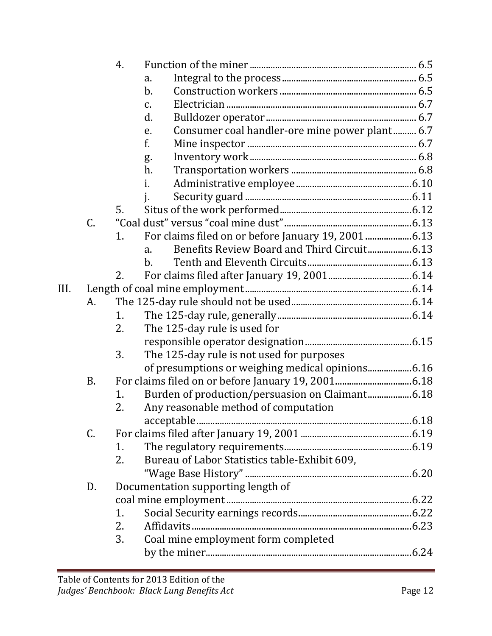|      |           | 4. |                                                      |  |
|------|-----------|----|------------------------------------------------------|--|
|      |           |    | a.                                                   |  |
|      |           |    | $b$ .                                                |  |
|      |           |    | $C_{\bullet}$                                        |  |
|      |           |    | d.                                                   |  |
|      |           |    | Consumer coal handler-ore mine power plant 6.7<br>e. |  |
|      |           |    | f.                                                   |  |
|      |           |    | g.                                                   |  |
|      |           |    | h.                                                   |  |
|      |           |    | i.                                                   |  |
|      |           |    |                                                      |  |
|      |           | 5. |                                                      |  |
|      | C.        |    |                                                      |  |
|      |           | 1. |                                                      |  |
|      |           |    | a.                                                   |  |
|      |           |    | $b$ .                                                |  |
|      |           | 2. |                                                      |  |
| III. |           |    |                                                      |  |
|      | A.        |    |                                                      |  |
|      |           | 1. |                                                      |  |
|      |           | 2. | The 125-day rule is used for                         |  |
|      |           |    |                                                      |  |
|      |           | 3. | The 125-day rule is not used for purposes            |  |
|      |           |    |                                                      |  |
|      | <b>B.</b> |    |                                                      |  |
|      |           | 1. |                                                      |  |
|      |           | 2. | Any reasonable method of computation                 |  |
|      |           |    |                                                      |  |
|      | C.        |    |                                                      |  |
|      |           | 1. |                                                      |  |
|      |           | 2. | Bureau of Labor Statistics table-Exhibit 609,        |  |
|      |           |    |                                                      |  |
|      | D.        |    | Documentation supporting length of                   |  |
|      |           |    |                                                      |  |
|      |           | 1. |                                                      |  |
|      |           | 2. |                                                      |  |
|      |           | 3. | Coal mine employment form completed                  |  |
|      |           |    |                                                      |  |
|      |           |    |                                                      |  |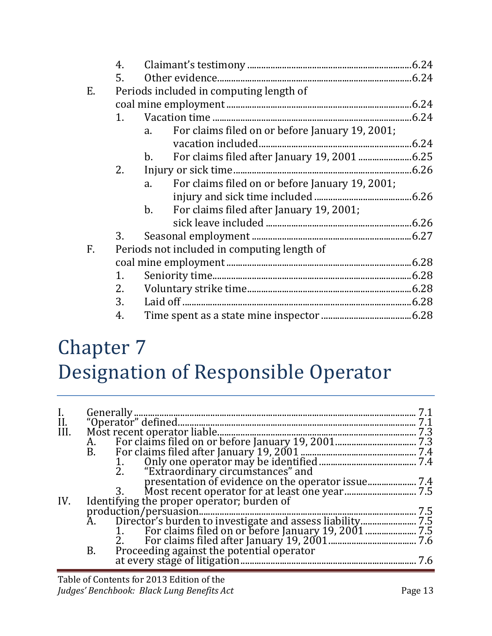|             | 4. |                                                            |      |
|-------------|----|------------------------------------------------------------|------|
|             | 5. |                                                            |      |
| E.          |    | Periods included in computing length of                    |      |
|             |    |                                                            |      |
|             | 1. |                                                            | 6.24 |
|             |    | For claims filed on or before January 19, 2001;<br>a.      |      |
|             |    |                                                            |      |
|             |    | $b_{\cdot}$                                                |      |
|             | 2. | Injury or sick time                                        |      |
|             |    | For claims filed on or before January 19, 2001;<br>a.      |      |
|             |    |                                                            |      |
|             |    | For claims filed after January 19, 2001;<br>$\mathbf{b}$ . |      |
|             |    |                                                            |      |
|             | 3. |                                                            |      |
| $F_{\cdot}$ |    | Periods not included in computing length of                |      |
|             |    |                                                            |      |
|             | 1. |                                                            |      |
|             | 2. |                                                            |      |
|             | 3. |                                                            |      |
|             | 4. |                                                            |      |

# Chapter 7 Designation of Responsible Operator

| I.<br>II.<br>III. |           |     |
|-------------------|-----------|-----|
|                   |           | 7.1 |
|                   |           | 7.3 |
|                   | A.        |     |
|                   | <b>B.</b> |     |
|                   |           |     |
|                   |           |     |
|                   |           |     |
|                   |           |     |
| IV.               |           |     |
|                   |           | 7.5 |
|                   | Ã.        |     |
|                   |           |     |
|                   |           |     |
|                   | <b>B.</b> |     |
|                   |           | 7.6 |
|                   |           |     |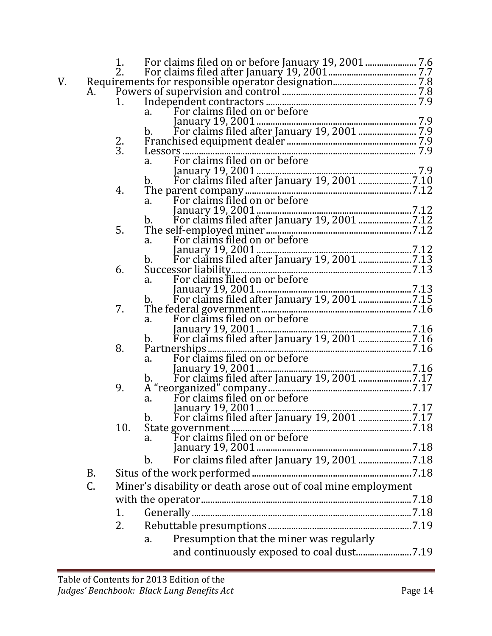| V. |    |                 |                                                                                               |  |
|----|----|-----------------|-----------------------------------------------------------------------------------------------|--|
|    |    |                 |                                                                                               |  |
|    |    |                 |                                                                                               |  |
|    |    |                 |                                                                                               |  |
|    |    |                 | January 19, 2001<br>b. For claims filed after January 19, 2001<br>Franchised equipment dealer |  |
|    |    |                 |                                                                                               |  |
|    |    | $\frac{2}{3}$ . |                                                                                               |  |
|    |    |                 |                                                                                               |  |
|    |    |                 |                                                                                               |  |
|    |    |                 |                                                                                               |  |
|    |    |                 |                                                                                               |  |
|    |    | 4.              |                                                                                               |  |
|    |    |                 |                                                                                               |  |
|    |    |                 |                                                                                               |  |
|    |    | 5.              |                                                                                               |  |
|    |    |                 | For claims filed on or before<br>$a_{\cdot}$                                                  |  |
|    |    |                 |                                                                                               |  |
|    |    |                 |                                                                                               |  |
|    |    | 6.              |                                                                                               |  |
|    |    |                 |                                                                                               |  |
|    |    |                 |                                                                                               |  |
|    |    |                 | b.                                                                                            |  |
|    |    | 7.              |                                                                                               |  |
|    |    |                 |                                                                                               |  |
|    |    |                 |                                                                                               |  |
|    |    |                 | b.                                                                                            |  |
|    |    | 8.              |                                                                                               |  |
|    |    |                 | For claims filed on or before<br>a.                                                           |  |
|    |    |                 |                                                                                               |  |
|    |    |                 |                                                                                               |  |
|    |    | 9.              |                                                                                               |  |
|    |    |                 |                                                                                               |  |
|    |    |                 |                                                                                               |  |
|    |    |                 |                                                                                               |  |
|    |    | 10.             | State government.                                                                             |  |
|    |    |                 | а.                                                                                            |  |
|    |    |                 |                                                                                               |  |
|    |    |                 | $b$ .                                                                                         |  |
|    | B. |                 |                                                                                               |  |
|    | C. |                 | Miner's disability or death arose out of coal mine employment                                 |  |
|    |    |                 |                                                                                               |  |
|    |    |                 |                                                                                               |  |
|    |    | 1.              |                                                                                               |  |
|    |    | 2.              |                                                                                               |  |
|    |    |                 | Presumption that the miner was regularly<br>a.                                                |  |
|    |    |                 |                                                                                               |  |
|    |    |                 |                                                                                               |  |
|    |    |                 |                                                                                               |  |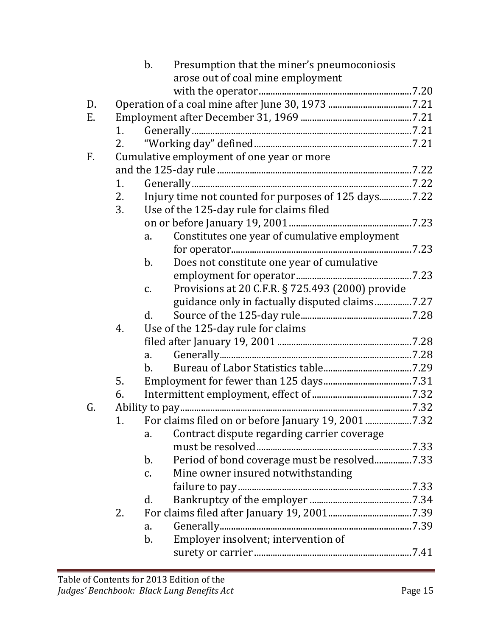|    |    | Presumption that the miner's pneumoconiosis<br>$b$ .          |  |
|----|----|---------------------------------------------------------------|--|
|    |    | arose out of coal mine employment                             |  |
|    |    |                                                               |  |
| D. |    |                                                               |  |
| E. |    |                                                               |  |
|    | 1. |                                                               |  |
|    | 2. |                                                               |  |
| F. |    | Cumulative employment of one year or more                     |  |
|    |    |                                                               |  |
|    | 1. |                                                               |  |
|    | 2. | Injury time not counted for purposes of 125 days7.22          |  |
|    | 3. | Use of the 125-day rule for claims filed                      |  |
|    |    |                                                               |  |
|    |    | Constitutes one year of cumulative employment<br>a.           |  |
|    |    |                                                               |  |
|    |    | Does not constitute one year of cumulative<br>$b$ .           |  |
|    |    |                                                               |  |
|    |    | Provisions at 20 C.F.R. § 725.493 (2000) provide<br>C.        |  |
|    |    |                                                               |  |
|    |    | $d$ .                                                         |  |
|    | 4. | Use of the 125-day rule for claims                            |  |
|    |    |                                                               |  |
|    |    | $a_{\cdot}$                                                   |  |
|    |    | $\mathbf{b}$ .                                                |  |
|    | 5. |                                                               |  |
|    | 6. |                                                               |  |
| G. |    |                                                               |  |
|    | 1. |                                                               |  |
|    |    | Contract dispute regarding carrier coverage<br>a.             |  |
|    |    |                                                               |  |
|    |    | Period of bond coverage must be resolved7.33<br>$\mathbf b$ . |  |
|    |    | Mine owner insured notwithstanding<br>$C_{\bullet}$           |  |
|    |    |                                                               |  |
|    |    | d.                                                            |  |
|    | 2. |                                                               |  |
|    |    | a.                                                            |  |
|    |    | Employer insolvent; intervention of<br>$b$ .                  |  |
|    |    |                                                               |  |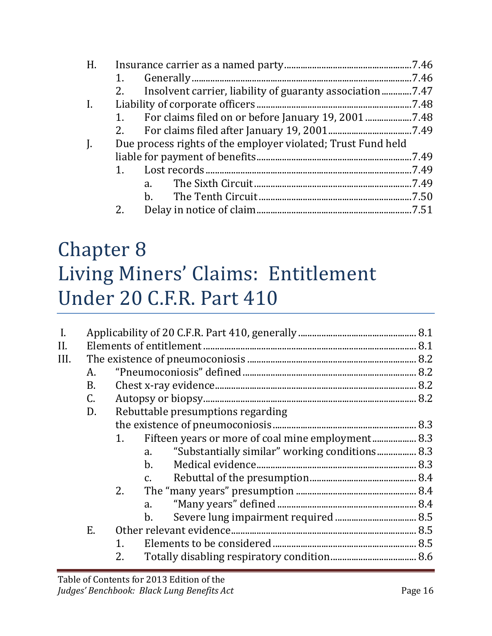| H.             |    |                                                              |       |
|----------------|----|--------------------------------------------------------------|-------|
|                |    |                                                              | 7.46  |
|                | 2. |                                                              | 7.47  |
| $\mathbf{I}$ . |    |                                                              | .7.48 |
|                |    |                                                              |       |
|                |    |                                                              |       |
| $\mathbf{J}$ . |    | Due process rights of the employer violated; Trust Fund held |       |
|                |    |                                                              | 7.49  |
|                | 1. |                                                              | .7.49 |
|                |    | a.                                                           |       |
|                |    |                                                              |       |
|                | 2. | Delay in notice of claim.                                    | .7.51 |
|                |    |                                                              |       |

## Chapter 8 Living Miners' Claims: Entitlement Under 20 C.F.R. Part 410

| $\mathbf{I}$ . |                 |                                                         |  |
|----------------|-----------------|---------------------------------------------------------|--|
| II.            |                 |                                                         |  |
| III.           |                 |                                                         |  |
|                | А.              |                                                         |  |
|                | <b>B.</b>       |                                                         |  |
|                | $\mathcal{C}$ . |                                                         |  |
|                | D.              | Rebuttable presumptions regarding                       |  |
|                |                 |                                                         |  |
|                |                 | Fifteen years or more of coal mine employment 8.3<br>1. |  |
|                |                 | "Substantially similar" working conditions 8.3<br>a.    |  |
|                |                 | $\mathbf{b}$ .                                          |  |
|                |                 | $\mathcal{C}$ .                                         |  |
|                |                 | 2.                                                      |  |
|                |                 | a.                                                      |  |
|                |                 | $\mathbf b$ .                                           |  |
|                | E.              |                                                         |  |
|                |                 | 1.                                                      |  |
|                |                 | 2.                                                      |  |
|                |                 |                                                         |  |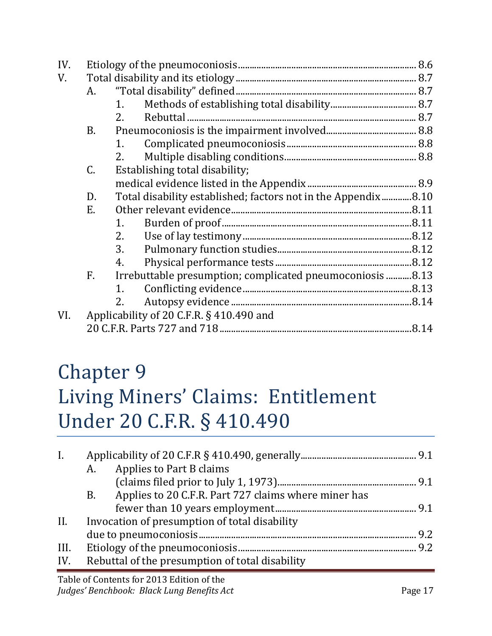| IV. |                 |    |                                                               |  |
|-----|-----------------|----|---------------------------------------------------------------|--|
| V.  |                 |    |                                                               |  |
|     | A.              |    |                                                               |  |
|     |                 | 1. |                                                               |  |
|     |                 | 2. |                                                               |  |
|     | <b>B.</b>       |    |                                                               |  |
|     |                 | 1. |                                                               |  |
|     |                 | 2. |                                                               |  |
|     | $\mathcal{C}$ . |    | Establishing total disability;                                |  |
|     |                 |    |                                                               |  |
|     | D.              |    | Total disability established; factors not in the Appendix8.10 |  |
|     | E.              |    |                                                               |  |
|     |                 | 1. |                                                               |  |
|     |                 | 2. |                                                               |  |
|     |                 | 3. |                                                               |  |
|     |                 | 4. |                                                               |  |
|     | F.              |    | Irrebuttable presumption; complicated pneumoconiosis 8.13     |  |
|     |                 | 1. |                                                               |  |
|     |                 | 2. |                                                               |  |
| VI. |                 |    | Applicability of 20 C.F.R. § 410.490 and                      |  |
|     |                 |    |                                                               |  |

#### Chapter 9 Living Miners' Claims: Entitlement Under 20 C.F.R. § 410.490

| $\mathbf{I}$ . | A. | Applies to Part B claims                             |  |
|----------------|----|------------------------------------------------------|--|
|                |    |                                                      |  |
|                | B. | Applies to 20 C.F.R. Part 727 claims where miner has |  |
|                |    |                                                      |  |
| II.            |    | Invocation of presumption of total disability        |  |
|                |    |                                                      |  |
| III.           |    |                                                      |  |
| IV.            |    | Rebuttal of the presumption of total disability      |  |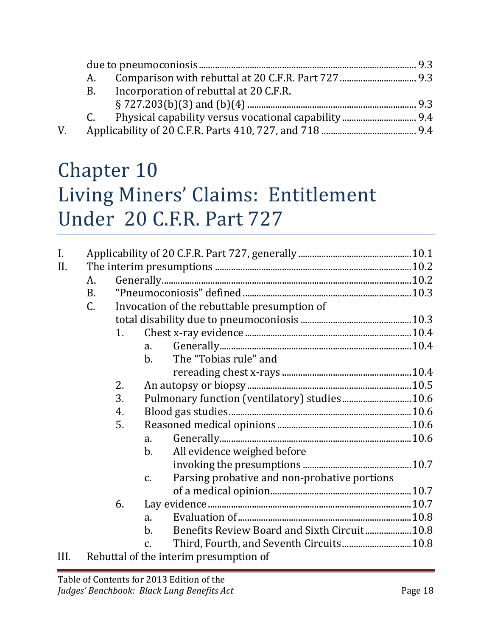|    | A. |                                        |  |
|----|----|----------------------------------------|--|
|    | B. | Incorporation of rebuttal at 20 C.F.R. |  |
|    |    |                                        |  |
|    |    |                                        |  |
| V. |    |                                        |  |

## Chapter 10 Living Miners' Claims: Entitlement Under 20 C.F.R. Part 727

| $\mathbf{I}$ . |                |                |                                                                 |  |
|----------------|----------------|----------------|-----------------------------------------------------------------|--|
| II.            |                |                |                                                                 |  |
|                | A.             |                |                                                                 |  |
|                | <b>B.</b>      |                |                                                                 |  |
|                | $\mathsf{C}$ . |                | Invocation of the rebuttable presumption of                     |  |
|                |                |                |                                                                 |  |
|                |                | 1 <sub>1</sub> |                                                                 |  |
|                |                |                | $a_{\cdot}$                                                     |  |
|                |                |                | The "Tobias rule" and<br>$\mathbf{b}$ .                         |  |
|                |                |                |                                                                 |  |
|                |                | 2.             |                                                                 |  |
|                |                | 3.             | Pulmonary function (ventilatory) studies 10.6                   |  |
|                |                | 4.             |                                                                 |  |
|                |                | 5.             |                                                                 |  |
|                |                |                | a.                                                              |  |
|                |                |                | All evidence weighed before<br>$\mathbf{b}$ .                   |  |
|                |                |                |                                                                 |  |
|                |                |                | Parsing probative and non-probative portions<br>$\mathcal{C}$ . |  |
|                |                |                |                                                                 |  |
|                |                | 6.             |                                                                 |  |
|                |                |                | a.                                                              |  |
|                |                |                | $b$ .                                                           |  |
|                |                |                | Third, Fourth, and Seventh Circuits 10.8<br>$\mathcal{C}$ .     |  |
| III.           |                |                | Rebuttal of the interim presumption of                          |  |
|                |                |                |                                                                 |  |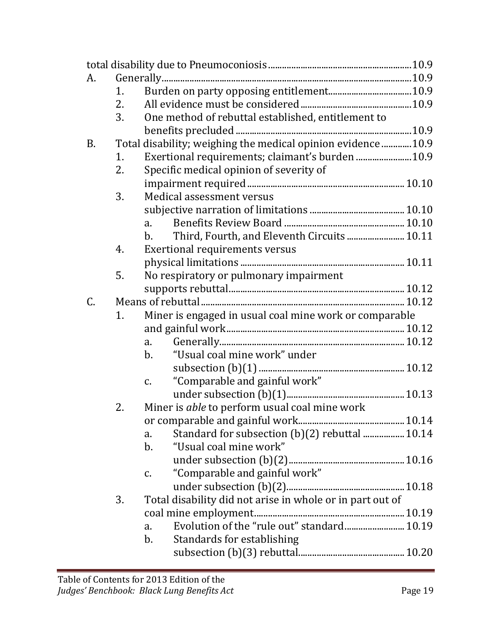| A.                                                                        |  |
|---------------------------------------------------------------------------|--|
|                                                                           |  |
| 1.                                                                        |  |
| 2.                                                                        |  |
| One method of rebuttal established, entitlement to<br>3.                  |  |
|                                                                           |  |
| Total disability; weighing the medical opinion evidence 10.9<br><b>B.</b> |  |
| Exertional requirements; claimant's burden  10.9<br>1.                    |  |
| Specific medical opinion of severity of<br>2.                             |  |
|                                                                           |  |
| Medical assessment versus<br>3.                                           |  |
|                                                                           |  |
| a.                                                                        |  |
| Third, Fourth, and Eleventh Circuits 10.11<br>$\mathbf{b}$ .              |  |
| Exertional requirements versus<br>4.                                      |  |
|                                                                           |  |
| 5.<br>No respiratory or pulmonary impairment                              |  |
|                                                                           |  |
| C.                                                                        |  |
| Miner is engaged in usual coal mine work or comparable<br>1.              |  |
|                                                                           |  |
| a.                                                                        |  |
| "Usual coal mine work" under<br>$\mathbf{b}$ .                            |  |
|                                                                           |  |
| "Comparable and gainful work"<br>$C_{\bullet}$                            |  |
|                                                                           |  |
| 2.<br>Miner is able to perform usual coal mine work                       |  |
|                                                                           |  |
| Standard for subsection (b)(2) rebuttal  10.14<br>a.                      |  |
| "Usual coal mine work"<br>b.                                              |  |
|                                                                           |  |
| "Comparable and gainful work"<br>c.                                       |  |
|                                                                           |  |
| Total disability did not arise in whole or in part out of<br>3.           |  |
|                                                                           |  |
| Evolution of the "rule out" standard 10.19<br>a.                          |  |
| b.<br>Standards for establishing                                          |  |
|                                                                           |  |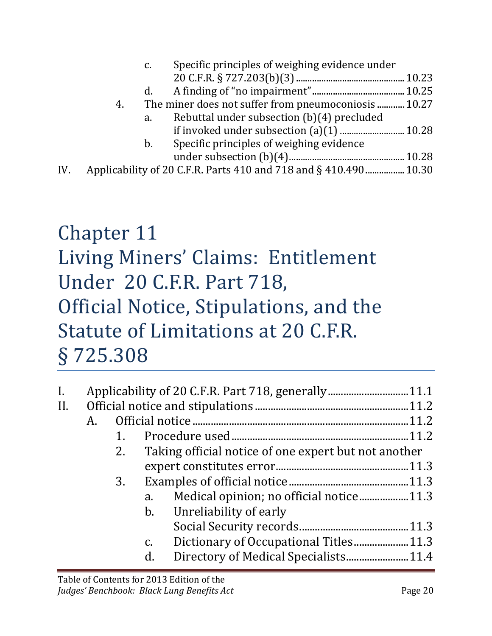|     |    | c.      | Specific principles of weighing evidence under                    |  |
|-----|----|---------|-------------------------------------------------------------------|--|
|     |    |         |                                                                   |  |
|     |    | d.      |                                                                   |  |
|     | 4. |         | The miner does not suffer from pneumoconiosis  10.27              |  |
|     |    | a.      | Rebuttal under subsection (b)(4) precluded                        |  |
|     |    |         |                                                                   |  |
|     |    | $b_{-}$ | Specific principles of weighing evidence                          |  |
|     |    |         |                                                                   |  |
| IV. |    |         | Applicability of 20 C.F.R. Parts 410 and 718 and § 410.490  10.30 |  |

#### Chapter 11 Living Miners' Claims: Entitlement Under 20 C.F.R. Part 718, Official Notice, Stipulations, and the Statute of Limitations at 20 C.F.R. § 725.308

| $\mathbf{I}$ . |    |    |               |                                                      |  |
|----------------|----|----|---------------|------------------------------------------------------|--|
|                |    |    |               |                                                      |  |
| II.            |    |    |               |                                                      |  |
|                | A. |    |               |                                                      |  |
|                |    | 1. |               |                                                      |  |
|                |    | 2. |               | Taking official notice of one expert but not another |  |
|                |    |    |               |                                                      |  |
|                |    | 3. |               |                                                      |  |
|                |    |    | a.            | Medical opinion; no official notice11.3              |  |
|                |    |    |               | b. Unreliability of early                            |  |
|                |    |    |               |                                                      |  |
|                |    |    | $C_{\bullet}$ |                                                      |  |
|                |    |    | d.            |                                                      |  |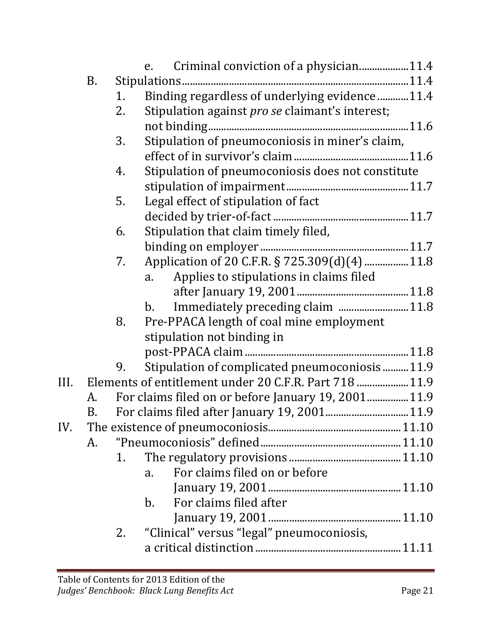|     |    |    | Criminal conviction of a physician11.4<br>e.                |  |
|-----|----|----|-------------------------------------------------------------|--|
|     | В. |    |                                                             |  |
|     |    | 1. | Binding regardless of underlying evidence11.4               |  |
|     |    | 2. | Stipulation against <i>pro se</i> claimant's interest;      |  |
|     |    |    |                                                             |  |
|     |    | 3. | Stipulation of pneumoconiosis in miner's claim,             |  |
|     |    |    |                                                             |  |
|     |    | 4. | Stipulation of pneumoconiosis does not constitute           |  |
|     |    |    |                                                             |  |
|     |    | 5. | Legal effect of stipulation of fact                         |  |
|     |    |    |                                                             |  |
|     |    | 6. | Stipulation that claim timely filed,                        |  |
|     |    |    |                                                             |  |
|     |    | 7. | Application of 20 C.F.R. § 725.309(d)(4)  11.8              |  |
|     |    |    | Applies to stipulations in claims filed<br>a.               |  |
|     |    |    |                                                             |  |
|     |    |    | Immediately preceding claim 11.8<br>b.                      |  |
|     |    | 8. | Pre-PPACA length of coal mine employment                    |  |
|     |    |    | stipulation not binding in                                  |  |
|     |    |    |                                                             |  |
|     |    | 9. | Stipulation of complicated pneumoconiosis11.9               |  |
|     |    |    | III. Elements of entitlement under 20 C.F.R. Part 718  11.9 |  |
|     | А. |    | For claims filed on or before January 19, 2001 11.9         |  |
|     | B. |    |                                                             |  |
| IV. |    |    |                                                             |  |
|     | A. |    |                                                             |  |
|     |    | 1. |                                                             |  |
|     |    |    | For claims filed on or before<br>$a_{\cdot}$                |  |
|     |    |    |                                                             |  |
|     |    |    | For claims filed after<br>$\mathbf{b}$ .                    |  |
|     |    |    |                                                             |  |
|     |    | 2. | "Clinical" versus "legal" pneumoconiosis,                   |  |
|     |    |    |                                                             |  |
|     |    |    |                                                             |  |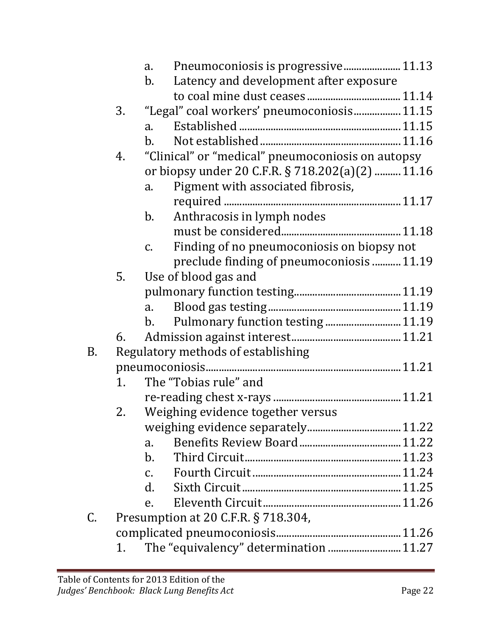|    |    | a.                   | Pneumoconiosis is progressive 11.13               |
|----|----|----------------------|---------------------------------------------------|
|    |    | $b_{\cdot}$          | Latency and development after exposure            |
|    |    |                      |                                                   |
|    | 3. |                      | "Legal" coal workers' pneumoconiosis 11.15        |
|    |    | $a_{\cdot}$          |                                                   |
|    |    | $\mathbf{b}$ .       |                                                   |
|    | 4. |                      | "Clinical" or "medical" pneumoconiosis on autopsy |
|    |    |                      | or biopsy under 20 C.F.R. § 718.202(a)(2)  11.16  |
|    |    | a.                   | Pigment with associated fibrosis,                 |
|    |    |                      |                                                   |
|    |    | $b_{\cdot}$          | Anthracosis in lymph nodes                        |
|    |    |                      |                                                   |
|    |    | $C_{\bullet}$        | Finding of no pneumoconiosis on biopsy not        |
|    |    |                      | preclude finding of pneumoconiosis  11.19         |
|    | 5. |                      | Use of blood gas and                              |
|    |    |                      |                                                   |
|    |    | a.                   |                                                   |
|    |    | $\mathbf{b}$ .       | Pulmonary function testing  11.19                 |
|    | 6. |                      |                                                   |
| B. |    |                      | Regulatory methods of establishing                |
|    |    |                      |                                                   |
|    | 1. |                      | The "Tobias rule" and                             |
|    |    |                      |                                                   |
|    | 2. |                      | Weighing evidence together versus                 |
|    |    |                      |                                                   |
|    |    | a.                   |                                                   |
|    |    | $\mathbf{b}$ .       |                                                   |
|    |    | $C_{1}$              |                                                   |
|    |    | $\mathbf{d}_{\cdot}$ |                                                   |
|    |    | e.                   |                                                   |
| C. |    |                      | Presumption at 20 C.F.R. § 718.304,               |
|    |    |                      |                                                   |
|    | 1. |                      | The "equivalency" determination  11.27            |
|    |    |                      |                                                   |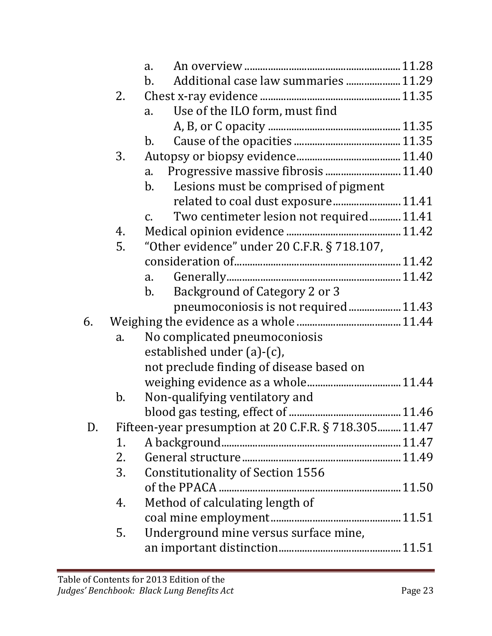|    |               | a.                                                          |  |
|----|---------------|-------------------------------------------------------------|--|
|    |               | Additional case law summaries  11.29<br>$\mathbf{b}$ .      |  |
|    | 2.            |                                                             |  |
|    |               | Use of the ILO form, must find<br>a.                        |  |
|    |               |                                                             |  |
|    |               | b.                                                          |  |
|    | 3.            |                                                             |  |
|    |               | a.                                                          |  |
|    |               | Lesions must be comprised of pigment<br>b.                  |  |
|    |               |                                                             |  |
|    |               | Two centimeter lesion not required 11.41<br>$\mathcal{C}$ . |  |
|    | 4.            |                                                             |  |
|    | 5.            | "Other evidence" under 20 C.F.R. § 718.107,                 |  |
|    |               |                                                             |  |
|    |               | a.                                                          |  |
|    |               | Background of Category 2 or 3<br>$\mathbf{b}$ .             |  |
|    |               | pneumoconiosis is not required 11.43                        |  |
| 6. |               |                                                             |  |
|    | a.            | No complicated pneumoconiosis                               |  |
|    |               | established under $(a)-(c)$ ,                               |  |
|    |               | not preclude finding of disease based on                    |  |
|    |               |                                                             |  |
|    | $\mathbf b$ . | Non-qualifying ventilatory and                              |  |
|    |               |                                                             |  |
| D. |               | Fifteen-year presumption at 20 C.F.R. § 718.305 11.47       |  |
|    | 1.            |                                                             |  |
|    | 2.            |                                                             |  |
|    | 3.            | <b>Constitutionality of Section 1556</b>                    |  |
|    |               |                                                             |  |
|    | 4.            | Method of calculating length of                             |  |
|    |               |                                                             |  |
|    | 5.            | Underground mine versus surface mine,                       |  |
|    |               |                                                             |  |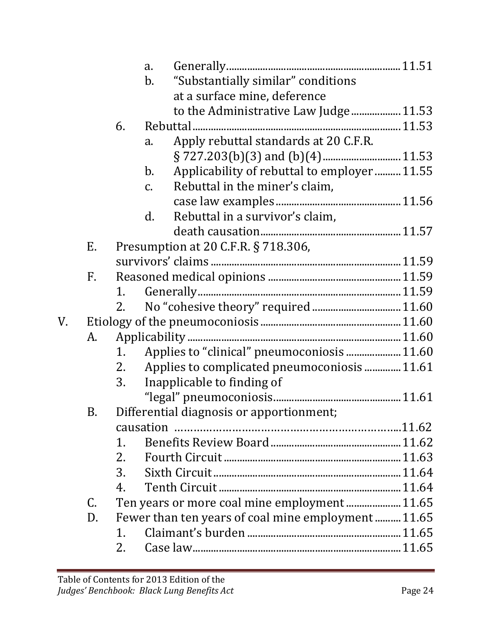|    |    |                                          | a.             |                                                   |  |  |  |  |
|----|----|------------------------------------------|----------------|---------------------------------------------------|--|--|--|--|
|    |    |                                          | b.             | "Substantially similar" conditions                |  |  |  |  |
|    |    |                                          |                | at a surface mine, deference                      |  |  |  |  |
|    |    |                                          |                | to the Administrative Law Judge 11.53             |  |  |  |  |
|    |    | 6.                                       |                |                                                   |  |  |  |  |
|    |    |                                          | a.             | Apply rebuttal standards at 20 C.F.R.             |  |  |  |  |
|    |    |                                          |                |                                                   |  |  |  |  |
|    |    |                                          | $\mathbf{b}$ . | Applicability of rebuttal to employer11.55        |  |  |  |  |
|    |    |                                          | $C_{\bullet}$  | Rebuttal in the miner's claim,                    |  |  |  |  |
|    |    |                                          |                |                                                   |  |  |  |  |
|    |    |                                          | d.             | Rebuttal in a survivor's claim,                   |  |  |  |  |
|    |    |                                          |                |                                                   |  |  |  |  |
|    | Е. | Presumption at 20 C.F.R. § 718.306,      |                |                                                   |  |  |  |  |
|    |    |                                          |                |                                                   |  |  |  |  |
|    | F. |                                          |                |                                                   |  |  |  |  |
|    |    | 1.                                       |                |                                                   |  |  |  |  |
|    |    | 2.                                       |                |                                                   |  |  |  |  |
| V. |    |                                          |                |                                                   |  |  |  |  |
|    | А. |                                          |                |                                                   |  |  |  |  |
|    |    | 1.                                       |                | Applies to "clinical" pneumoconiosis  11.60       |  |  |  |  |
|    |    | 2.                                       |                | Applies to complicated pneumoconiosis  11.61      |  |  |  |  |
|    |    | 3.                                       |                | Inapplicable to finding of                        |  |  |  |  |
|    |    |                                          |                |                                                   |  |  |  |  |
|    | В. | Differential diagnosis or apportionment; |                |                                                   |  |  |  |  |
|    |    |                                          |                |                                                   |  |  |  |  |
|    |    | 1.                                       |                |                                                   |  |  |  |  |
|    |    | 2.                                       |                |                                                   |  |  |  |  |
|    |    | 3.                                       |                |                                                   |  |  |  |  |
|    |    | 4.                                       |                |                                                   |  |  |  |  |
|    | C. |                                          |                | Ten years or more coal mine employment 11.65      |  |  |  |  |
|    | D. |                                          |                | Fewer than ten years of coal mine employment11.65 |  |  |  |  |
|    |    | $\mathbf{1}$ .                           |                |                                                   |  |  |  |  |
|    |    | 2.                                       |                |                                                   |  |  |  |  |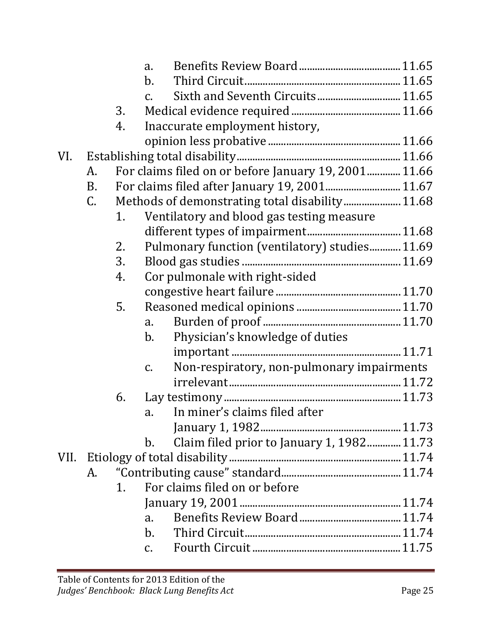|      |             |    | a.              |                                                      |  |
|------|-------------|----|-----------------|------------------------------------------------------|--|
|      |             |    | $b_{\cdot}$     |                                                      |  |
|      |             |    | $\mathcal{C}$ . |                                                      |  |
|      |             | 3. |                 |                                                      |  |
|      |             | 4. |                 | Inaccurate employment history,                       |  |
|      |             |    |                 |                                                      |  |
| VI.  |             |    |                 |                                                      |  |
|      | А.          |    |                 | For claims filed on or before January 19, 2001 11.66 |  |
|      | <b>B.</b>   |    |                 | For claims filed after January 19, 2001 11.67        |  |
|      | $C_{\cdot}$ |    |                 |                                                      |  |
|      |             | 1. |                 | Ventilatory and blood gas testing measure            |  |
|      |             |    |                 |                                                      |  |
|      |             | 2. |                 | Pulmonary function (ventilatory) studies 11.69       |  |
|      |             | 3. |                 |                                                      |  |
|      |             | 4. |                 | Cor pulmonale with right-sided                       |  |
|      |             |    |                 |                                                      |  |
|      |             | 5. |                 |                                                      |  |
|      |             |    | a.              |                                                      |  |
|      |             |    | b.              | Physician's knowledge of duties                      |  |
|      |             |    |                 |                                                      |  |
|      |             |    | $\mathsf{C}$ .  | Non-respiratory, non-pulmonary impairments           |  |
|      |             |    |                 |                                                      |  |
|      |             | 6. |                 |                                                      |  |
|      |             |    | a.              | In miner's claims filed after                        |  |
|      |             |    |                 |                                                      |  |
|      |             |    | b.              | Claim filed prior to January 1, 1982 11.73           |  |
| VII. |             |    |                 |                                                      |  |
|      | А.          |    |                 |                                                      |  |
|      |             | 1. |                 | For claims filed on or before                        |  |
|      |             |    |                 |                                                      |  |
|      |             |    | a.              |                                                      |  |
|      |             |    | $\mathbf{b}$ .  |                                                      |  |
|      |             |    | $C_{\bullet}$   |                                                      |  |
|      |             |    |                 |                                                      |  |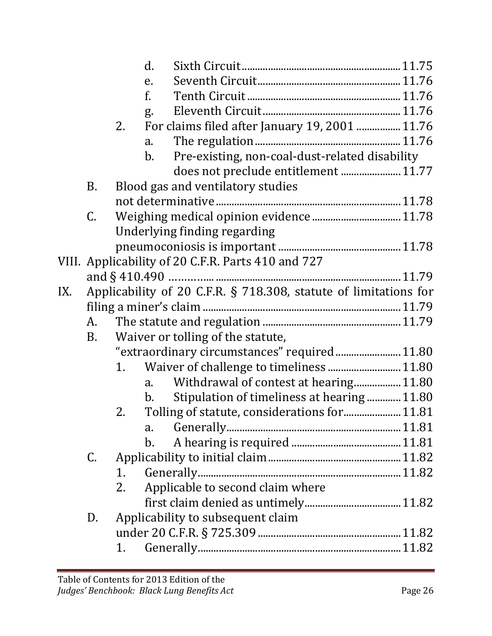|     |           | d.                                                               |  |
|-----|-----------|------------------------------------------------------------------|--|
|     |           | e.                                                               |  |
|     |           | f.                                                               |  |
|     |           | g.                                                               |  |
|     |           | For claims filed after January 19, 2001  11.76<br>2.             |  |
|     |           | $a_{\cdot}$                                                      |  |
|     |           | Pre-existing, non-coal-dust-related disability<br>b.             |  |
|     |           | does not preclude entitlement  11.77                             |  |
|     | B.        | Blood gas and ventilatory studies                                |  |
|     |           |                                                                  |  |
|     | C.        |                                                                  |  |
|     |           | Underlying finding regarding                                     |  |
|     |           |                                                                  |  |
|     |           | VIII. Applicability of 20 C.F.R. Parts 410 and 727               |  |
|     |           |                                                                  |  |
| IX. |           | Applicability of 20 C.F.R. § 718.308, statute of limitations for |  |
|     |           |                                                                  |  |
|     | A.        |                                                                  |  |
|     | <b>B.</b> | Waiver or tolling of the statute,                                |  |
|     |           | "extraordinary circumstances" required 11.80                     |  |
|     |           | Waiver of challenge to timeliness 11.80<br>1.                    |  |
|     |           | Withdrawal of contest at hearing 11.80<br>a.                     |  |
|     |           | Stipulation of timeliness at hearing11.80<br>b.                  |  |
|     |           | Tolling of statute, considerations for 11.81<br>2.               |  |
|     |           | a.                                                               |  |
|     |           | $\mathbf{b}$ .                                                   |  |
|     | C.        |                                                                  |  |
|     |           | 1.                                                               |  |
|     |           | Applicable to second claim where<br>2.                           |  |
|     |           |                                                                  |  |
|     | D.        | Applicability to subsequent claim                                |  |
|     |           |                                                                  |  |
|     |           | 1.                                                               |  |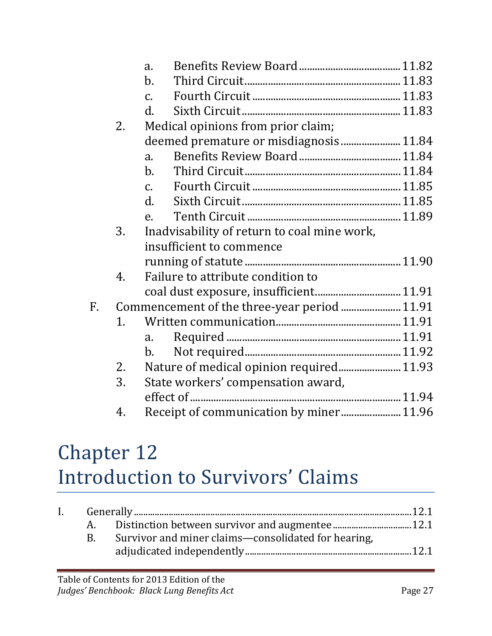|    |    | a.                                           |  |
|----|----|----------------------------------------------|--|
|    |    | $\mathbf{b}$ .                               |  |
|    |    | $\mathcal{C}$ .                              |  |
|    |    | $\mathbf{d}$ .                               |  |
|    | 2. | Medical opinions from prior claim;           |  |
|    |    | deemed premature or misdiagnosis 11.84       |  |
|    |    | $\mathbf{a}$ .                               |  |
|    |    | $\mathbf{b}$ .                               |  |
|    |    | $\mathcal{C}$ .                              |  |
|    |    | $\mathbf{d}$ .                               |  |
|    |    | e.                                           |  |
|    | 3. | Inadvisability of return to coal mine work,  |  |
|    |    | insufficient to commence                     |  |
|    |    |                                              |  |
|    | 4. | Failure to attribute condition to            |  |
|    |    | coal dust exposure, insufficient 11.91       |  |
| F. |    | Commencement of the three-year period  11.91 |  |
|    | 1. |                                              |  |
|    |    | $a_{\cdot}$                                  |  |
|    |    | $\mathbf{b}$ .                               |  |
|    | 2. | Nature of medical opinion required 11.93     |  |
|    | 3. | State workers' compensation award,           |  |
|    |    |                                              |  |
|    | 4. |                                              |  |
|    |    |                                              |  |

## Chapter 12 Introduction to Survivors' Claims

| $\mathbf{I}$ . |                                                     |  |
|----------------|-----------------------------------------------------|--|
|                |                                                     |  |
|                | Survivor and miner claims—consolidated for hearing, |  |
|                |                                                     |  |
|                |                                                     |  |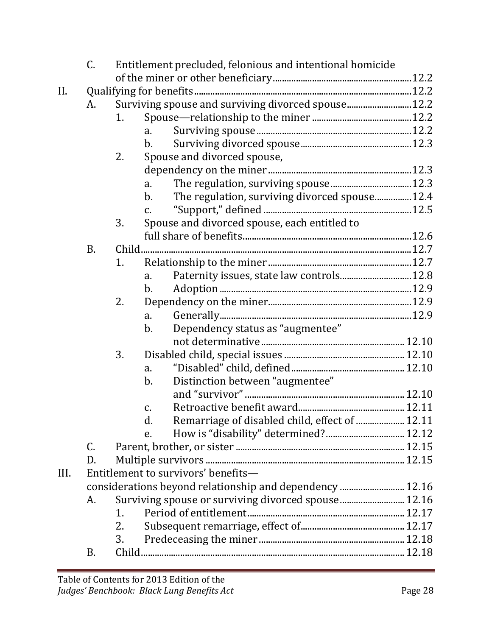|      | C.        | Entitlement precluded, felonious and intentional homicide |                                                                 |  |  |  |
|------|-----------|-----------------------------------------------------------|-----------------------------------------------------------------|--|--|--|
|      |           |                                                           |                                                                 |  |  |  |
| II.  |           |                                                           |                                                                 |  |  |  |
|      | A.        |                                                           | Surviving spouse and surviving divorced spouse 12.2             |  |  |  |
|      |           | 1.                                                        |                                                                 |  |  |  |
|      |           |                                                           | $a_{\cdot}$                                                     |  |  |  |
|      |           |                                                           | $b$ .                                                           |  |  |  |
|      |           | 2.                                                        | Spouse and divorced spouse,                                     |  |  |  |
|      |           |                                                           |                                                                 |  |  |  |
|      |           |                                                           | a.                                                              |  |  |  |
|      |           |                                                           | The regulation, surviving divorced spouse12.4<br>$\mathbf{b}$ . |  |  |  |
|      |           |                                                           | $C_{\bullet}$                                                   |  |  |  |
|      |           | 3.                                                        | Spouse and divorced spouse, each entitled to                    |  |  |  |
|      |           |                                                           |                                                                 |  |  |  |
|      | <b>B.</b> |                                                           |                                                                 |  |  |  |
|      |           | 1.                                                        |                                                                 |  |  |  |
|      |           |                                                           | Paternity issues, state law controls 12.8<br>a.                 |  |  |  |
|      |           |                                                           | $\mathbf{b}$ .                                                  |  |  |  |
|      |           | 2.                                                        |                                                                 |  |  |  |
|      |           |                                                           | a.                                                              |  |  |  |
|      |           |                                                           | Dependency status as "augmentee"<br>$b$ .                       |  |  |  |
|      |           |                                                           |                                                                 |  |  |  |
|      |           | 3.                                                        |                                                                 |  |  |  |
|      |           |                                                           | a.                                                              |  |  |  |
|      |           |                                                           | Distinction between "augmentee"<br>$b$ .                        |  |  |  |
|      |           |                                                           |                                                                 |  |  |  |
|      |           |                                                           | C.                                                              |  |  |  |
|      |           |                                                           | Remarriage of disabled child, effect of  12.11<br>d.            |  |  |  |
|      |           |                                                           | e.                                                              |  |  |  |
|      | C.        |                                                           |                                                                 |  |  |  |
|      | D.        |                                                           |                                                                 |  |  |  |
| III. |           |                                                           | Entitlement to survivors' benefits-                             |  |  |  |
|      |           |                                                           | considerations beyond relationship and dependency  12.16        |  |  |  |
|      | А.        |                                                           | Surviving spouse or surviving divorced spouse 12.16             |  |  |  |
|      |           | 1.                                                        |                                                                 |  |  |  |
|      |           | 2.                                                        |                                                                 |  |  |  |
|      |           | 3.                                                        |                                                                 |  |  |  |
|      | B.        |                                                           |                                                                 |  |  |  |
|      |           |                                                           |                                                                 |  |  |  |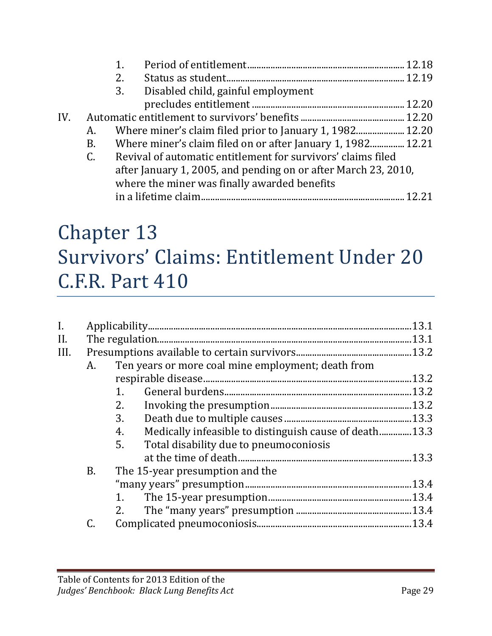|     |    | 2.                                                             |  |
|-----|----|----------------------------------------------------------------|--|
|     |    | 3.<br>Disabled child, gainful employment                       |  |
|     |    |                                                                |  |
| IV. |    |                                                                |  |
|     | A. | Where miner's claim filed prior to January 1, 1982 12.20       |  |
|     | B. | Where miner's claim filed on or after January 1, 1982 12.21    |  |
|     | C. | Revival of automatic entitlement for survivors' claims filed   |  |
|     |    | after January 1, 2005, and pending on or after March 23, 2010, |  |
|     |    | where the miner was finally awarded benefits                   |  |
|     |    |                                                                |  |

#### Chapter 13 Survivors' Claims: Entitlement Under 20 C.F.R. Part 410

| I.   |           |                                                              | .13.1 |
|------|-----------|--------------------------------------------------------------|-------|
| II.  |           |                                                              | .13.1 |
| III. |           |                                                              |       |
|      | A.        | Ten years or more coal mine employment; death from           |       |
|      |           |                                                              | .13.2 |
|      |           | 1.                                                           |       |
|      |           | 2.                                                           |       |
|      |           | 3.                                                           |       |
|      |           | Medically infeasible to distinguish cause of death13.3<br>4. |       |
|      |           | Total disability due to pneumoconiosis<br>5.                 |       |
|      |           |                                                              |       |
|      | <b>B.</b> | The 15-year presumption and the                              |       |
|      |           |                                                              |       |
|      |           | 1.                                                           |       |
|      |           | 2.                                                           |       |
|      |           |                                                              |       |
|      |           |                                                              |       |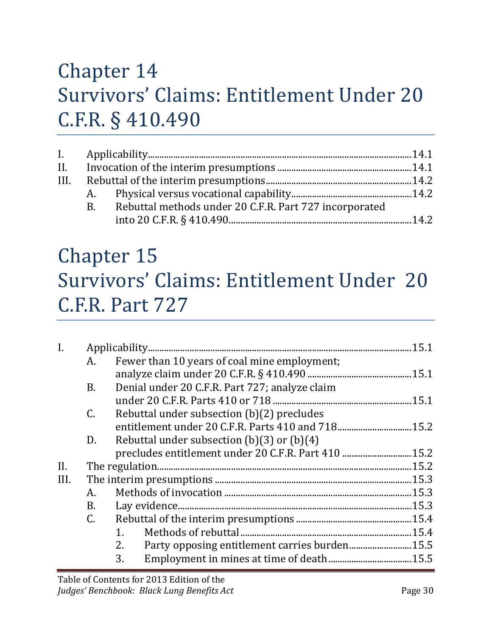#### Chapter 14 Survivors' Claims: Entitlement Under 20 C.F.R. § 410.490

| <b>B.</b> | Rebuttal methods under 20 C.F.R. Part 727 incorporated |  |  |
|-----------|--------------------------------------------------------|--|--|
|           |                                                        |  |  |
|           |                                                        |  |  |

#### Chapter 15 Survivors' Claims: Entitlement Under 20 C.F.R. Part 727

| $\mathbf{I}$ . |                 |                                                      |       |
|----------------|-----------------|------------------------------------------------------|-------|
|                | А.              | Fewer than 10 years of coal mine employment;         |       |
|                |                 |                                                      |       |
|                | <b>B.</b>       | Denial under 20 C.F.R. Part 727; analyze claim       |       |
|                |                 |                                                      |       |
|                | $\mathcal{C}$ . | Rebuttal under subsection (b)(2) precludes           |       |
|                |                 | entitlement under 20 C.F.R. Parts 410 and 718 15.2   |       |
|                | D.              | Rebuttal under subsection $(b)(3)$ or $(b)(4)$       |       |
|                |                 | precludes entitlement under 20 C.F.R. Part 410  15.2 |       |
| II.            |                 |                                                      |       |
| III.           |                 |                                                      |       |
|                | А.              |                                                      |       |
|                | B.              |                                                      | .15.3 |
|                | $\mathcal{C}$ . |                                                      |       |
|                |                 | $1_{-}$                                              |       |
|                |                 | Party opposing entitlement carries burden 15.5<br>2. |       |
|                |                 | 3.                                                   |       |
|                |                 |                                                      |       |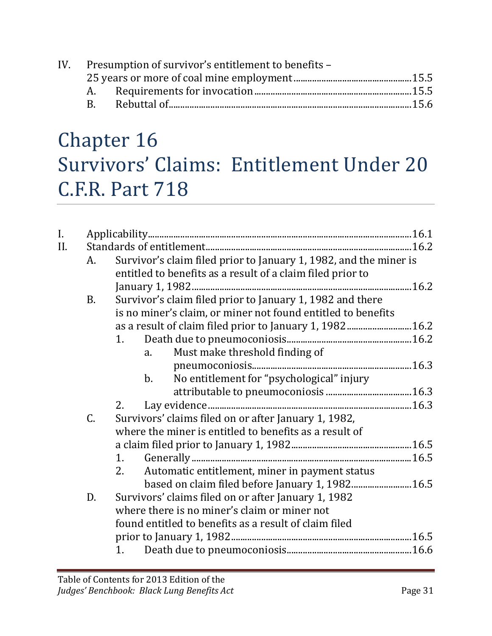|     | IV. Presumption of survivor's entitlement to benefits - |  |
|-----|---------------------------------------------------------|--|
|     |                                                         |  |
|     |                                                         |  |
| R – |                                                         |  |
|     |                                                         |  |

## Chapter 16 Survivors' Claims: Entitlement Under 20 C.F.R. Part 718

| $\mathbf{I}$ . |           |    |         |                                                                   |  |  |
|----------------|-----------|----|---------|-------------------------------------------------------------------|--|--|
| II.            |           |    |         |                                                                   |  |  |
|                | A.        |    |         | Survivor's claim filed prior to January 1, 1982, and the miner is |  |  |
|                |           |    |         | entitled to benefits as a result of a claim filed prior to        |  |  |
|                |           |    |         |                                                                   |  |  |
|                | <b>B.</b> |    |         | Survivor's claim filed prior to January 1, 1982 and there         |  |  |
|                |           |    |         | is no miner's claim, or miner not found entitled to benefits      |  |  |
|                |           |    |         | as a result of claim filed prior to January 1, 1982 16.2          |  |  |
|                |           | 1. |         |                                                                   |  |  |
|                |           |    | a.      | Must make threshold finding of                                    |  |  |
|                |           |    |         |                                                                   |  |  |
|                |           |    | $b_{-}$ | No entitlement for "psychological" injury                         |  |  |
|                |           |    |         |                                                                   |  |  |
|                |           | 2. |         |                                                                   |  |  |
|                | C.        |    |         | Survivors' claims filed on or after January 1, 1982,              |  |  |
|                |           |    |         | where the miner is entitled to benefits as a result of            |  |  |
|                |           |    |         |                                                                   |  |  |
|                |           | 1. |         |                                                                   |  |  |
|                |           | 2. |         | Automatic entitlement, miner in payment status                    |  |  |
|                |           |    |         |                                                                   |  |  |
|                | D.        |    |         | Survivors' claims filed on or after January 1, 1982               |  |  |
|                |           |    |         | where there is no miner's claim or miner not                      |  |  |
|                |           |    |         | found entitled to benefits as a result of claim filed             |  |  |
|                |           |    |         |                                                                   |  |  |
|                |           |    |         |                                                                   |  |  |
|                |           |    |         |                                                                   |  |  |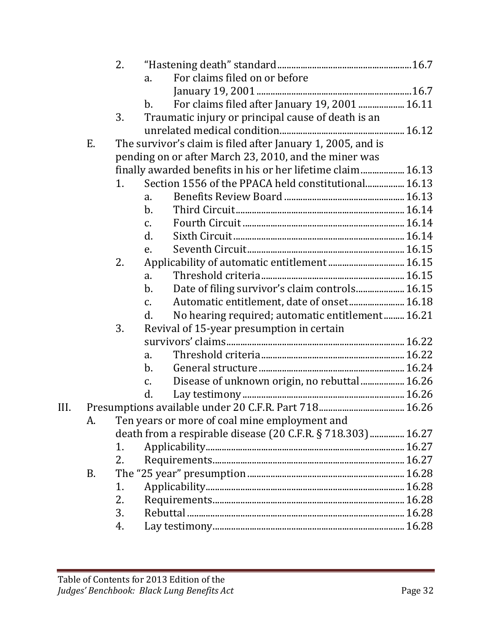|      |    | 2. |                 |                                                             |  |
|------|----|----|-----------------|-------------------------------------------------------------|--|
|      |    |    | a.              | For claims filed on or before                               |  |
|      |    |    |                 |                                                             |  |
|      |    |    | $\mathbf{b}$ .  | For claims filed after January 19, 2001  16.11              |  |
|      |    | 3. |                 | Traumatic injury or principal cause of death is an          |  |
|      |    |    |                 |                                                             |  |
|      | Ε. |    |                 | The survivor's claim is filed after January 1, 2005, and is |  |
|      |    |    |                 | pending on or after March 23, 2010, and the miner was       |  |
|      |    |    |                 | finally awarded benefits in his or her lifetime claim 16.13 |  |
|      |    | 1. |                 | Section 1556 of the PPACA held constitutional 16.13         |  |
|      |    |    | a.              |                                                             |  |
|      |    |    | $b$ .           |                                                             |  |
|      |    |    | $\mathcal{C}$ . |                                                             |  |
|      |    |    | d.              |                                                             |  |
|      |    |    | e.              |                                                             |  |
|      |    | 2. |                 |                                                             |  |
|      |    |    | a.              |                                                             |  |
|      |    |    | $b$ .           | Date of filing survivor's claim controls 16.15              |  |
|      |    |    | $\mathcal{C}$ . | Automatic entitlement, date of onset 16.18                  |  |
|      |    |    | d.              | No hearing required; automatic entitlement 16.21            |  |
|      |    | 3. |                 | Revival of 15-year presumption in certain                   |  |
|      |    |    |                 |                                                             |  |
|      |    |    | a.              |                                                             |  |
|      |    |    | $\mathbf{b}$ .  |                                                             |  |
|      |    |    | $\mathcal{C}$ . | Disease of unknown origin, no rebuttal 16.26                |  |
|      |    |    | d.              |                                                             |  |
| III. |    |    |                 |                                                             |  |
|      | A. |    |                 | Ten years or more of coal mine employment and               |  |
|      |    |    |                 | death from a respirable disease (20 C.F.R. § 718.303) 16.27 |  |
|      |    | 1. |                 |                                                             |  |
|      |    | 2. |                 |                                                             |  |
|      | B. |    |                 |                                                             |  |
|      |    | 1. |                 |                                                             |  |
|      |    | 2. |                 |                                                             |  |
|      |    | 3. |                 |                                                             |  |
|      |    | 4. |                 |                                                             |  |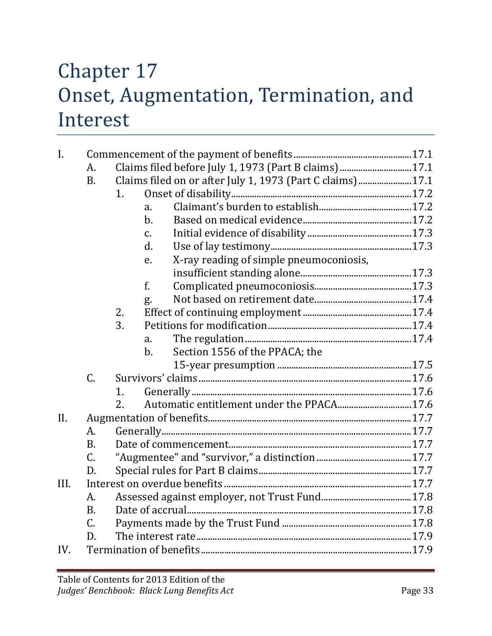#### Chapter 17 Onset, Augmentation, Termination, and Interest

| $\mathbf{I}$ . |                 |    |                |                                                             |  |  |
|----------------|-----------------|----|----------------|-------------------------------------------------------------|--|--|
|                | A.              |    |                | Claims filed before July 1, 1973 (Part B claims)  17.1      |  |  |
|                | <b>B.</b>       |    |                | Claims filed on or after July 1, 1973 (Part C claims)  17.1 |  |  |
|                |                 | 1. |                |                                                             |  |  |
|                |                 |    | $\mathbf{a}$ . |                                                             |  |  |
|                |                 |    | $b$ .          |                                                             |  |  |
|                |                 |    | $C_{\bullet}$  |                                                             |  |  |
|                |                 |    | d.             |                                                             |  |  |
|                |                 |    | e.             | X-ray reading of simple pneumoconiosis,                     |  |  |
|                |                 |    |                |                                                             |  |  |
|                |                 |    | f.             |                                                             |  |  |
|                |                 |    | g.             |                                                             |  |  |
|                |                 | 2. |                |                                                             |  |  |
|                |                 | 3. |                |                                                             |  |  |
|                |                 |    | a.             |                                                             |  |  |
|                |                 |    | $b$ .          | Section 1556 of the PPACA; the                              |  |  |
|                |                 |    |                |                                                             |  |  |
|                | C.              |    |                |                                                             |  |  |
|                |                 | 1. |                |                                                             |  |  |
|                |                 | 2. |                |                                                             |  |  |
| II.            |                 |    |                |                                                             |  |  |
|                | A.              |    |                |                                                             |  |  |
|                | B.              |    |                |                                                             |  |  |
|                | $\mathcal{C}$ . |    |                |                                                             |  |  |
|                | D.              |    |                |                                                             |  |  |
| III.           |                 |    |                |                                                             |  |  |
|                | A.              |    |                |                                                             |  |  |
|                | <b>B.</b>       |    |                |                                                             |  |  |
|                | C.              |    |                |                                                             |  |  |
|                | D.              |    |                |                                                             |  |  |
| IV.            |                 |    |                |                                                             |  |  |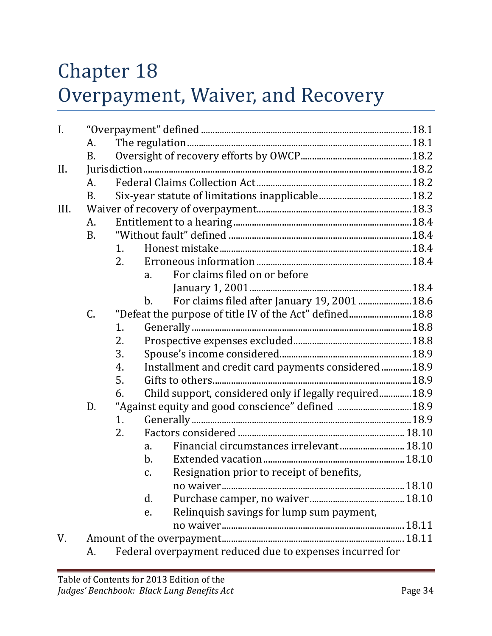# Chapter 18 Overpayment, Waiver, and Recovery

| I.   |           |    |                                                              |  |
|------|-----------|----|--------------------------------------------------------------|--|
|      | A.        |    |                                                              |  |
|      | <b>B.</b> |    |                                                              |  |
| II.  |           |    |                                                              |  |
|      | A.        |    |                                                              |  |
|      | B.        |    |                                                              |  |
| III. |           |    |                                                              |  |
|      | A.        |    |                                                              |  |
|      | <b>B.</b> |    |                                                              |  |
|      |           | 1. |                                                              |  |
|      |           | 2. |                                                              |  |
|      |           |    | For claims filed on or before<br>$a_{\cdot}$                 |  |
|      |           |    |                                                              |  |
|      |           |    | For claims filed after January 19, 2001  18.6<br>b.          |  |
|      | C.        |    | "Defeat the purpose of title IV of the Act" defined 18.8     |  |
|      |           | 1. |                                                              |  |
|      |           | 2. |                                                              |  |
|      |           | 3. |                                                              |  |
|      |           | 4. | Installment and credit card payments considered  18.9        |  |
|      |           | 5. |                                                              |  |
|      |           | 6. | Child support, considered only if legally required 18.9      |  |
|      | D.        |    | "Against equity and good conscience" defined  18.9           |  |
|      |           | 1. |                                                              |  |
|      |           | 2. |                                                              |  |
|      |           |    | Financial circumstances irrelevant 18.10<br>a.               |  |
|      |           |    | $\mathbf{b}$ .                                               |  |
|      |           |    | Resignation prior to receipt of benefits,<br>$\mathcal{C}$ . |  |
|      |           |    |                                                              |  |
|      |           |    | d.                                                           |  |
|      |           |    | Relinquish savings for lump sum payment,<br>e.               |  |
|      |           |    |                                                              |  |
| V.   |           |    |                                                              |  |
|      | А.        |    | Federal overpayment reduced due to expenses incurred for     |  |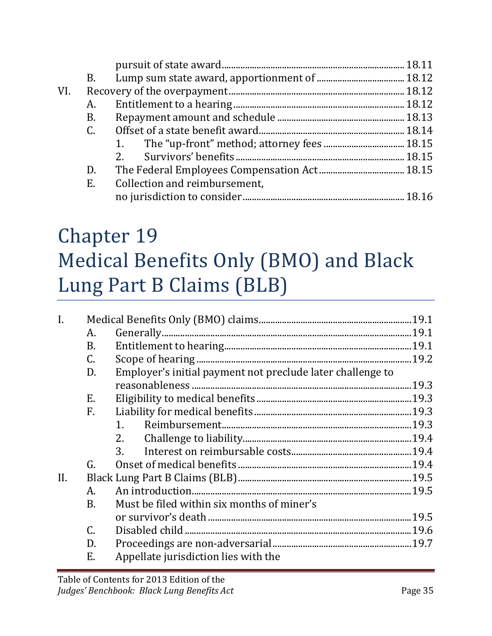|     | <b>B.</b>   |                               |  |
|-----|-------------|-------------------------------|--|
| VI. |             |                               |  |
|     | A.          |                               |  |
|     | B.          |                               |  |
|     | $C_{\cdot}$ |                               |  |
|     |             |                               |  |
|     |             | 2.                            |  |
|     | D.          |                               |  |
|     | Ε.          | Collection and reimbursement, |  |
|     |             |                               |  |
|     |             |                               |  |

# Chapter 19 Medical Benefits Only (BMO) and Black Lung Part B Claims (BLB)

| I.  |                 |                                                            |  |  |  |
|-----|-----------------|------------------------------------------------------------|--|--|--|
|     | A.              |                                                            |  |  |  |
|     | <b>B.</b>       |                                                            |  |  |  |
|     | C.              |                                                            |  |  |  |
|     | D.              | Employer's initial payment not preclude later challenge to |  |  |  |
|     |                 |                                                            |  |  |  |
|     | E.              |                                                            |  |  |  |
|     | F.              |                                                            |  |  |  |
|     |                 | $1_{-}$                                                    |  |  |  |
|     |                 | 2.                                                         |  |  |  |
|     |                 | 3.                                                         |  |  |  |
|     | G.              |                                                            |  |  |  |
| II. |                 |                                                            |  |  |  |
|     | A.              |                                                            |  |  |  |
|     | <b>B.</b>       | Must be filed within six months of miner's                 |  |  |  |
|     |                 |                                                            |  |  |  |
|     | $\mathcal{C}$ . |                                                            |  |  |  |
|     | D.              |                                                            |  |  |  |
|     | E.              | Appellate jurisdiction lies with the                       |  |  |  |
|     |                 |                                                            |  |  |  |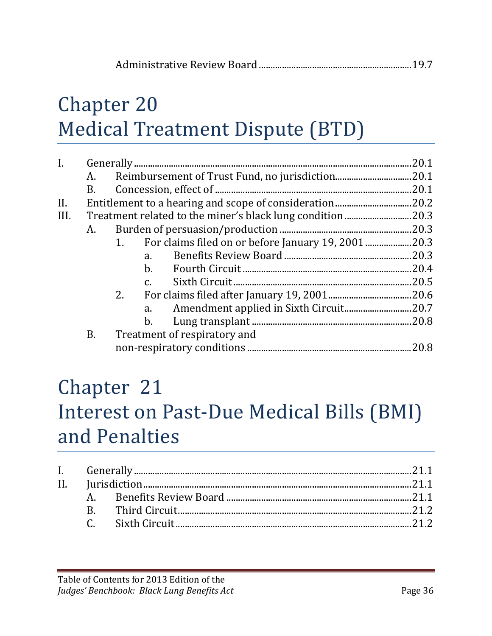# Chapter 20 Medical Treatment Dispute (BTD)

| $\mathbf{I}$ . |    |                                                          | 20.1  |
|----------------|----|----------------------------------------------------------|-------|
|                | A. |                                                          | .20.1 |
|                | B. |                                                          | .20.1 |
| II.            |    |                                                          | .20.2 |
| III.           |    |                                                          |       |
|                | А. |                                                          | .20.3 |
|                |    | For claims filed on or before January 19, 200120.3<br>1. |       |
|                |    | a.                                                       |       |
|                |    | $\mathbf{b}$ .                                           | .20.4 |
|                |    | $C_{\cdot}$                                              | .20.5 |
|                |    | 2.                                                       |       |
|                |    | a.                                                       |       |
|                |    | $b_{\cdot}$                                              |       |
|                | B. | Treatment of respiratory and                             |       |
|                |    |                                                          | .20.8 |
|                |    |                                                          |       |

#### Chapter 21 Interest on Past-Due Medical Bills (BMI) and Penalties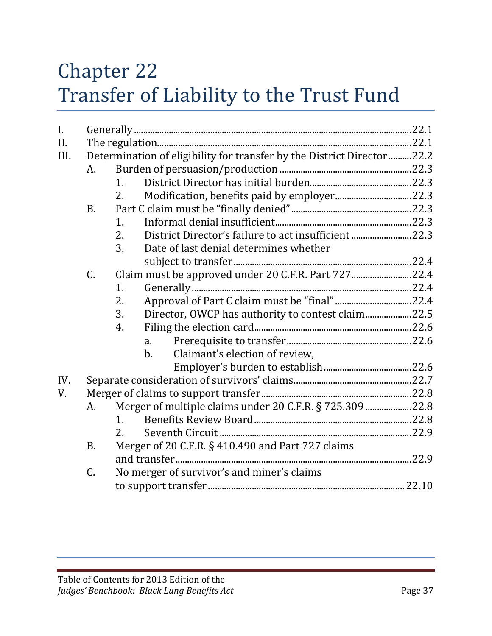## Chapter 22 Transfer of Liability to the Trust Fund

| $\mathbf{I}$ . |                 |                                                                         |  |  |  |  |
|----------------|-----------------|-------------------------------------------------------------------------|--|--|--|--|
| II.            |                 |                                                                         |  |  |  |  |
| III.           |                 | Determination of eligibility for transfer by the District Director 22.2 |  |  |  |  |
|                | A.              |                                                                         |  |  |  |  |
|                |                 | 1.                                                                      |  |  |  |  |
|                |                 | 2.                                                                      |  |  |  |  |
|                | <b>B.</b>       |                                                                         |  |  |  |  |
|                |                 | 1.                                                                      |  |  |  |  |
|                |                 | District Director's failure to act insufficient 22.3<br>2.              |  |  |  |  |
|                |                 | 3.<br>Date of last denial determines whether                            |  |  |  |  |
|                |                 |                                                                         |  |  |  |  |
|                | C.              | Claim must be approved under 20 C.F.R. Part 72722.4                     |  |  |  |  |
|                |                 | 1.                                                                      |  |  |  |  |
|                |                 | Approval of Part C claim must be "final"22.4<br>2.                      |  |  |  |  |
|                |                 | 3.<br>Director, OWCP has authority to contest claim22.5                 |  |  |  |  |
|                |                 | 4.                                                                      |  |  |  |  |
|                |                 | a.                                                                      |  |  |  |  |
|                |                 | Claimant's election of review,<br>$\mathbf{b}$ .                        |  |  |  |  |
|                |                 |                                                                         |  |  |  |  |
| IV.            |                 |                                                                         |  |  |  |  |
| V.             |                 |                                                                         |  |  |  |  |
|                | A.              | Merger of multiple claims under 20 C.F.R. § 725.309 22.8                |  |  |  |  |
|                |                 | 1 <sup>1</sup>                                                          |  |  |  |  |
|                |                 | 2.                                                                      |  |  |  |  |
|                | <b>B.</b>       | Merger of 20 C.F.R. § 410.490 and Part 727 claims                       |  |  |  |  |
|                |                 |                                                                         |  |  |  |  |
|                | $\mathcal{C}$ . | No merger of survivor's and miner's claims                              |  |  |  |  |
|                |                 |                                                                         |  |  |  |  |
|                |                 |                                                                         |  |  |  |  |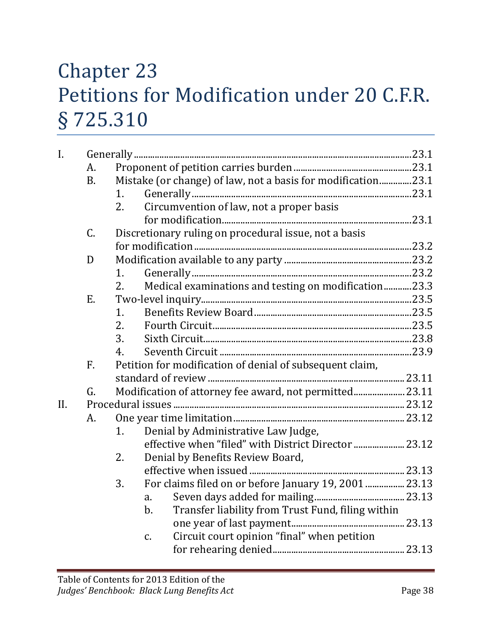## Chapter 23 Petitions for Modification under 20 C.F.R. § 725.310

| I.  |           |               |                                                              |  |
|-----|-----------|---------------|--------------------------------------------------------------|--|
|     | A.        |               |                                                              |  |
|     | <b>B.</b> |               | Mistake (or change) of law, not a basis for modification23.1 |  |
|     |           | 1.            |                                                              |  |
|     |           | 2.            | Circumvention of law, not a proper basis                     |  |
|     |           |               |                                                              |  |
|     | C.        |               | Discretionary ruling on procedural issue, not a basis        |  |
|     |           |               |                                                              |  |
|     | D         |               |                                                              |  |
|     |           | 1.            |                                                              |  |
|     |           | 2.            | Medical examinations and testing on modification23.3         |  |
|     | E.        |               |                                                              |  |
|     |           | 1.            |                                                              |  |
|     |           | 2.            |                                                              |  |
|     |           | 3.            |                                                              |  |
|     |           | 4.            |                                                              |  |
|     | F.        |               | Petition for modification of denial of subsequent claim,     |  |
|     |           |               |                                                              |  |
|     | G.        |               | Modification of attorney fee award, not permitted 23.11      |  |
| II. |           |               |                                                              |  |
|     | A.        |               |                                                              |  |
|     |           | 1.            | Denial by Administrative Law Judge,                          |  |
|     |           |               | effective when "filed" with District Director  23.12         |  |
|     |           | 2.            | Denial by Benefits Review Board,                             |  |
|     |           |               |                                                              |  |
|     |           | 3.            | For claims filed on or before January 19, 2001  23.13        |  |
|     |           | a.            |                                                              |  |
|     |           | $b$ .         | Transfer liability from Trust Fund, filing within            |  |
|     |           |               |                                                              |  |
|     |           | $C_{\bullet}$ | Circuit court opinion "final" when petition                  |  |
|     |           |               |                                                              |  |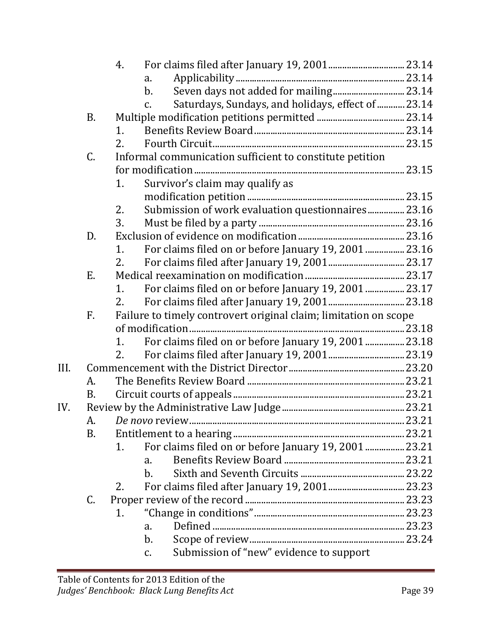|      |           | 4. |                                                                      |  |
|------|-----------|----|----------------------------------------------------------------------|--|
|      |           |    | a.                                                                   |  |
|      |           |    | Seven days not added for mailing 23.14<br>$b$ .                      |  |
|      |           |    | Saturdays, Sundays, and holidays, effect of  23.14<br>$\mathsf{C}$ . |  |
|      | <b>B.</b> |    |                                                                      |  |
|      |           | 1. |                                                                      |  |
|      |           | 2. |                                                                      |  |
|      | C.        |    | Informal communication sufficient to constitute petition             |  |
|      |           |    |                                                                      |  |
|      |           | 1. | Survivor's claim may qualify as                                      |  |
|      |           |    |                                                                      |  |
|      |           | 2. | Submission of work evaluation questionnaires 23.16                   |  |
|      |           | 3. |                                                                      |  |
|      | D.        |    |                                                                      |  |
|      |           | 1. | For claims filed on or before January 19, 2001  23.16                |  |
|      |           | 2. |                                                                      |  |
|      | Ε.        |    |                                                                      |  |
|      |           | 1. | For claims filed on or before January 19, 2001  23.17                |  |
|      |           | 2. |                                                                      |  |
|      | F.        |    | Failure to timely controvert original claim; limitation on scope     |  |
|      |           |    |                                                                      |  |
|      |           | 1. | For claims filed on or before January 19, 2001  23.18                |  |
|      |           | 2. |                                                                      |  |
| III. |           |    |                                                                      |  |
|      | А.        |    |                                                                      |  |
|      | B.        |    |                                                                      |  |
| IV.  |           |    |                                                                      |  |
|      | A.        |    |                                                                      |  |
|      | B.        |    |                                                                      |  |
|      |           | 1. | For claims filed on or before January 19, 2001  23.21                |  |
|      |           |    | a.                                                                   |  |
|      |           |    | b.                                                                   |  |
|      |           | 2. |                                                                      |  |
|      | C.        |    |                                                                      |  |
|      |           | 1. |                                                                      |  |
|      |           |    | a.                                                                   |  |
|      |           |    | $\mathbf b$ .                                                        |  |
|      |           |    | Submission of "new" evidence to support<br>$C_{\bullet}$             |  |
|      |           |    |                                                                      |  |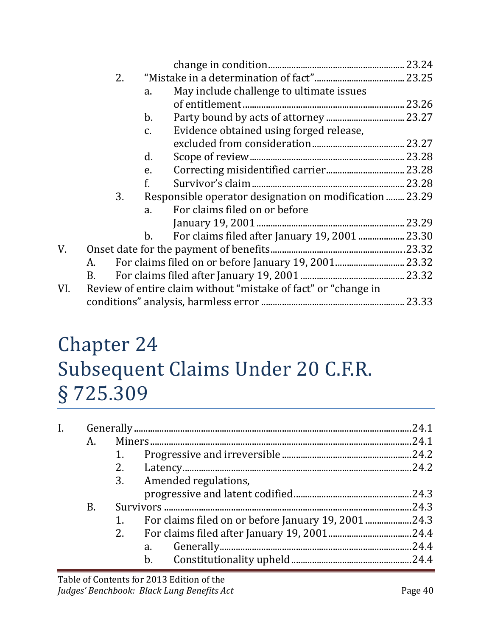|     |    |    |               |                                                                | 23.24  |
|-----|----|----|---------------|----------------------------------------------------------------|--------|
|     |    | 2. |               |                                                                |        |
|     |    |    | a.            | May include challenge to ultimate issues                       |        |
|     |    |    |               |                                                                | 23.26  |
|     |    |    | $b$ .         |                                                                |        |
|     |    |    | $C_{\bullet}$ | Evidence obtained using forged release,                        |        |
|     |    |    |               |                                                                |        |
|     |    |    | d.            |                                                                |        |
|     |    |    | e.            |                                                                |        |
|     |    |    | f.            |                                                                | .23.28 |
|     |    | 3. |               | Responsible operator designation on modification  23.29        |        |
|     |    |    | a.            | For claims filed on or before                                  |        |
|     |    |    |               |                                                                | 23.29  |
|     |    |    | $b_{\cdot}$   |                                                                | .23.30 |
| V.  |    |    |               |                                                                | .23.32 |
|     | A. |    |               |                                                                |        |
|     | В. |    |               |                                                                | .23.32 |
| VI. |    |    |               | Review of entire claim without "mistake of fact" or "change in |        |
|     |    |    |               |                                                                | .23.33 |
|     |    |    |               |                                                                |        |

#### Chapter 24 Subsequent Claims Under 20 C.F.R. § 725.309

|    |    |                                                     | 24.1  |
|----|----|-----------------------------------------------------|-------|
| А. |    |                                                     | 24.1  |
|    |    |                                                     |       |
|    | 2. |                                                     | .24.2 |
|    |    | 3. Amended regulations,                             |       |
|    |    |                                                     |       |
| B. |    |                                                     | 24.3  |
|    |    | For claims filed on or before January 19, 2001 24.3 |       |
|    | 2. |                                                     |       |
|    |    | a.                                                  |       |
|    |    | $b$ .                                               |       |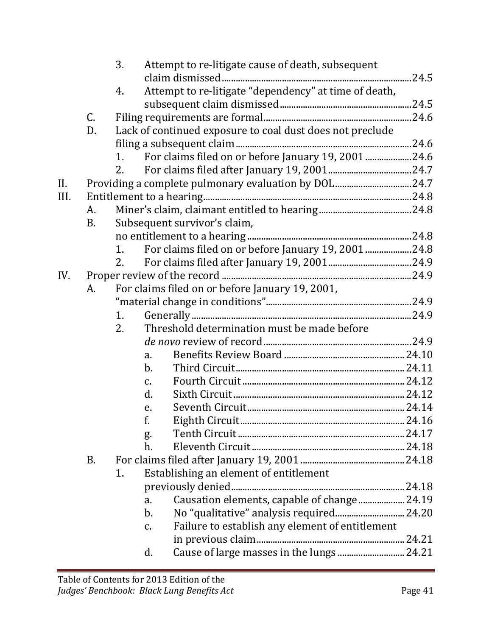|      |           | 3. | Attempt to re-litigate cause of death, subsequent         |  |
|------|-----------|----|-----------------------------------------------------------|--|
|      |           |    |                                                           |  |
|      |           | 4. | Attempt to re-litigate "dependency" at time of death,     |  |
|      | C.        |    |                                                           |  |
|      | D.        |    | Lack of continued exposure to coal dust does not preclude |  |
|      |           |    |                                                           |  |
|      |           | 1. | For claims filed on or before January 19, 2001 24.6       |  |
|      |           | 2. |                                                           |  |
| II.  |           |    | Providing a complete pulmonary evaluation by DOL24.7      |  |
| III. |           |    |                                                           |  |
|      | A.        |    |                                                           |  |
|      | <b>B.</b> |    | Subsequent survivor's claim,                              |  |
|      |           |    |                                                           |  |
|      |           | 1. | For claims filed on or before January 19, 2001 24.8       |  |
|      |           | 2. |                                                           |  |
| IV.  |           |    |                                                           |  |
|      | A.        |    | For claims filed on or before January 19, 2001,           |  |
|      |           |    |                                                           |  |
|      |           | 1. |                                                           |  |
|      |           | 2. | Threshold determination must be made before               |  |
|      |           |    |                                                           |  |
|      |           |    | a.                                                        |  |
|      |           |    | $\mathbf{b}$ .                                            |  |
|      |           |    | $\mathcal{C}$ .                                           |  |
|      |           |    | d.                                                        |  |
|      |           |    | e.                                                        |  |
|      |           |    | f.                                                        |  |
|      |           |    | g.                                                        |  |
|      |           |    | h.                                                        |  |
|      | B.        |    |                                                           |  |
|      |           | 1. | Establishing an element of entitlement                    |  |
|      |           |    |                                                           |  |
|      |           |    | Causation elements, capable of change 24.19<br>a.         |  |
|      |           |    | No "qualitative" analysis required 24.20<br>$\mathbf b$ . |  |
|      |           |    | Failure to establish any element of entitlement<br>c.     |  |
|      |           |    |                                                           |  |
|      |           |    | Cause of large masses in the lungs  24.21<br>d.           |  |
|      |           |    |                                                           |  |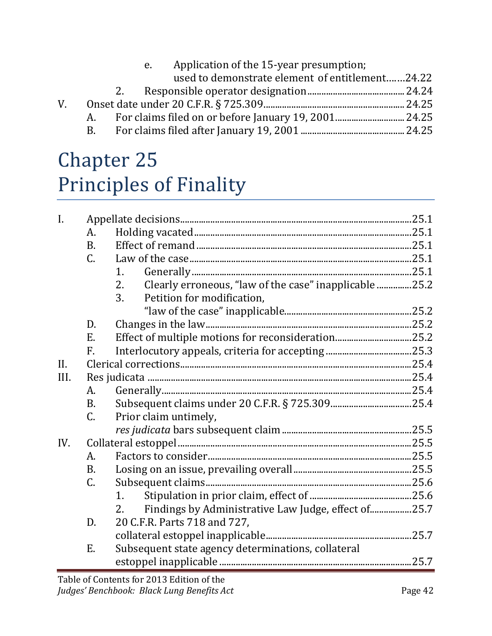|             |    |    | Application of the 15-year presumption;<br>e.   |  |
|-------------|----|----|-------------------------------------------------|--|
|             |    |    | used to demonstrate element of entitlement24.22 |  |
|             |    | 2. |                                                 |  |
| $V_{\cdot}$ |    |    |                                                 |  |
|             | A. |    |                                                 |  |
|             | B. |    |                                                 |  |

## Chapter 25 Principles of Finality

| $\mathbf{I}$ . |                 |                                                              |  |  |  |
|----------------|-----------------|--------------------------------------------------------------|--|--|--|
|                | A.              |                                                              |  |  |  |
|                | <b>B.</b>       |                                                              |  |  |  |
|                | $\mathsf{C}$ .  |                                                              |  |  |  |
|                |                 | 1.                                                           |  |  |  |
|                |                 | Clearly erroneous, "law of the case" inapplicable 25.2<br>2. |  |  |  |
|                |                 | 3.<br>Petition for modification,                             |  |  |  |
|                |                 |                                                              |  |  |  |
|                | D.              |                                                              |  |  |  |
|                | E.              |                                                              |  |  |  |
|                | F.              |                                                              |  |  |  |
| II.            |                 |                                                              |  |  |  |
| III.           |                 |                                                              |  |  |  |
|                | A.              |                                                              |  |  |  |
|                | <b>B.</b>       |                                                              |  |  |  |
|                | $\mathsf{C}$ .  | Prior claim untimely,                                        |  |  |  |
|                |                 |                                                              |  |  |  |
| IV.            |                 |                                                              |  |  |  |
|                | A.              |                                                              |  |  |  |
|                | <b>B.</b>       |                                                              |  |  |  |
|                | $\mathcal{C}$ . |                                                              |  |  |  |
|                |                 | 1.                                                           |  |  |  |
|                |                 | Findings by Administrative Law Judge, effect of25.7<br>2.    |  |  |  |
|                | D.              | 20 C.F.R. Parts 718 and 727,                                 |  |  |  |
|                |                 |                                                              |  |  |  |
|                | E.              | Subsequent state agency determinations, collateral           |  |  |  |
|                |                 |                                                              |  |  |  |
|                |                 | Toble of Contents for 2012 Edition of the                    |  |  |  |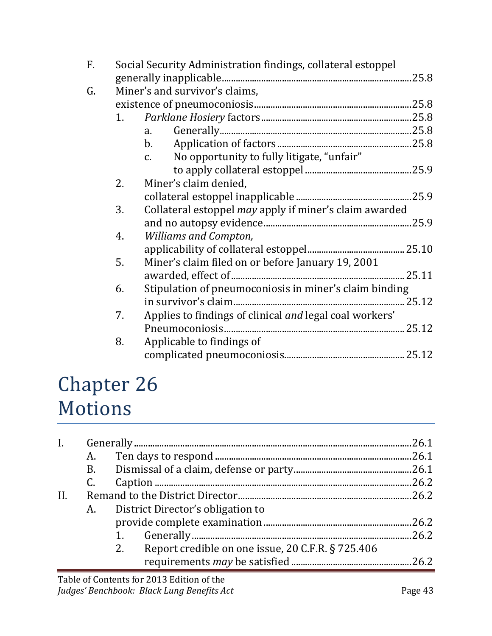| F. | Social Security Administration findings, collateral estoppel |                                                           |  |
|----|--------------------------------------------------------------|-----------------------------------------------------------|--|
|    |                                                              |                                                           |  |
| G. |                                                              | Miner's and survivor's claims,                            |  |
|    |                                                              |                                                           |  |
|    | 1.                                                           |                                                           |  |
|    |                                                              | a.                                                        |  |
|    |                                                              | $\mathbf{b}$ .                                            |  |
|    |                                                              | No opportunity to fully litigate, "unfair"<br>$C_{\rm L}$ |  |
|    |                                                              |                                                           |  |
|    | 2.                                                           | Miner's claim denied,                                     |  |
|    |                                                              |                                                           |  |
|    | 3.                                                           | Collateral estoppel may apply if miner's claim awarded    |  |
|    |                                                              |                                                           |  |
|    | 4.                                                           | <b>Williams and Compton,</b>                              |  |
|    |                                                              |                                                           |  |
|    | 5.                                                           | Miner's claim filed on or before January 19, 2001         |  |
|    |                                                              | 25.11                                                     |  |
|    | 6.                                                           | Stipulation of pneumoconiosis in miner's claim binding    |  |
|    |                                                              |                                                           |  |
|    | 7.                                                           | Applies to findings of clinical and legal coal workers'   |  |
|    |                                                              |                                                           |  |
|    | 8.                                                           | Applicable to findings of                                 |  |
|    |                                                              |                                                           |  |
|    |                                                              |                                                           |  |

#### Chapter 26 Motions

|     |    |                                                         | .26.1 |
|-----|----|---------------------------------------------------------|-------|
|     | A. |                                                         |       |
|     |    |                                                         |       |
|     | C. |                                                         | .26.2 |
| II. |    |                                                         |       |
|     | A. | District Director's obligation to                       |       |
|     |    |                                                         | .26.2 |
|     |    |                                                         | .26.2 |
|     |    | Report credible on one issue, 20 C.F.R. § 725.406<br>2. |       |
|     |    |                                                         |       |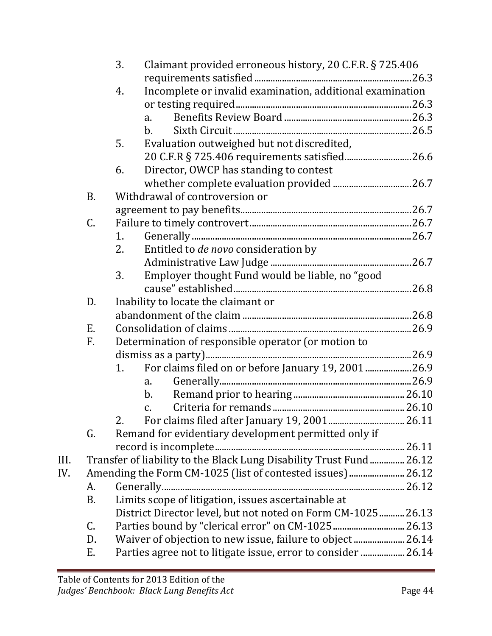|      |           | 3. | Claimant provided erroneous history, 20 C.F.R. § 725.406            |  |
|------|-----------|----|---------------------------------------------------------------------|--|
|      |           | 4. | Incomplete or invalid examination, additional examination           |  |
|      |           |    |                                                                     |  |
|      |           |    | a.                                                                  |  |
|      |           |    | b.                                                                  |  |
|      |           | 5. | Evaluation outweighed but not discredited,                          |  |
|      |           |    |                                                                     |  |
|      |           | 6. | Director, OWCP has standing to contest                              |  |
|      |           |    |                                                                     |  |
|      | <b>B.</b> |    | Withdrawal of controversion or                                      |  |
|      |           |    |                                                                     |  |
|      | C.        |    |                                                                     |  |
|      |           | 1. |                                                                     |  |
|      |           | 2. | Entitled to de novo consideration by                                |  |
|      |           |    |                                                                     |  |
|      |           | 3. | Employer thought Fund would be liable, no "good                     |  |
|      |           |    |                                                                     |  |
|      | D.        |    | Inability to locate the claimant or                                 |  |
|      |           |    |                                                                     |  |
|      | Ε.        |    |                                                                     |  |
|      | F.        |    | Determination of responsible operator (or motion to                 |  |
|      |           |    |                                                                     |  |
|      |           | 1. | For claims filed on or before January 19, 2001 26.9                 |  |
|      |           |    | $a_{\cdot}$                                                         |  |
|      |           |    | $\mathbf b$ .                                                       |  |
|      |           |    | $\mathcal{C}$ .                                                     |  |
|      |           | 2. |                                                                     |  |
|      | G.        |    | Remand for evidentiary development permitted only if                |  |
|      |           |    |                                                                     |  |
| III. |           |    | Transfer of liability to the Black Lung Disability Trust Fund 26.12 |  |
| IV.  |           |    | Amending the Form CM-1025 (list of contested issues) 26.12          |  |
|      | A.        |    |                                                                     |  |
|      | В.        |    | Limits scope of litigation, issues ascertainable at                 |  |
|      |           |    | District Director level, but not noted on Form CM-1025 26.13        |  |
|      | C.        |    |                                                                     |  |
|      | D.        |    | Waiver of objection to new issue, failure to object  26.14          |  |
|      | Е.        |    | Parties agree not to litigate issue, error to consider  26.14       |  |
|      |           |    |                                                                     |  |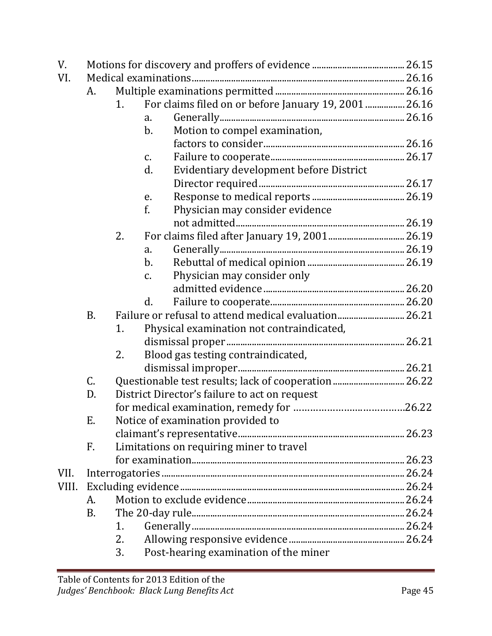| V.    |           |                |               |                                                       |  |
|-------|-----------|----------------|---------------|-------------------------------------------------------|--|
| VI.   |           |                |               |                                                       |  |
|       | A.        |                |               |                                                       |  |
|       |           | 1 <sub>1</sub> |               | For claims filed on or before January 19, 2001  26.16 |  |
|       |           |                | a.            |                                                       |  |
|       |           |                | b.            | Motion to compel examination,                         |  |
|       |           |                |               |                                                       |  |
|       |           |                | C.            |                                                       |  |
|       |           |                | d.            | Evidentiary development before District               |  |
|       |           |                |               |                                                       |  |
|       |           |                | e.            |                                                       |  |
|       |           |                | f.            | Physician may consider evidence                       |  |
|       |           |                |               |                                                       |  |
|       |           | 2.             |               |                                                       |  |
|       |           |                | a.            |                                                       |  |
|       |           |                | $b$ .         |                                                       |  |
|       |           |                | $C_{\bullet}$ | Physician may consider only                           |  |
|       |           |                |               |                                                       |  |
|       |           |                | d.            |                                                       |  |
|       | <b>B.</b> |                |               | Failure or refusal to attend medical evaluation 26.21 |  |
|       |           | 1.             |               | Physical examination not contraindicated,             |  |
|       |           |                |               |                                                       |  |
|       |           | 2.             |               | Blood gas testing contraindicated,                    |  |
|       |           |                |               |                                                       |  |
|       | C.        |                |               | Questionable test results; lack of cooperation 26.22  |  |
|       | D.        |                |               | District Director's failure to act on request         |  |
|       |           |                |               |                                                       |  |
|       | Ε.        |                |               | Notice of examination provided to                     |  |
|       |           |                |               |                                                       |  |
|       | F.        |                |               | Limitations on requiring miner to travel              |  |
|       |           |                |               |                                                       |  |
| VII.  |           |                |               |                                                       |  |
| VIII. |           |                |               |                                                       |  |
|       | А.        |                |               |                                                       |  |
|       | <b>B.</b> |                |               |                                                       |  |
|       |           | 1.             |               |                                                       |  |
|       |           | 2.             |               |                                                       |  |
|       |           | 3.             |               | Post-hearing examination of the miner                 |  |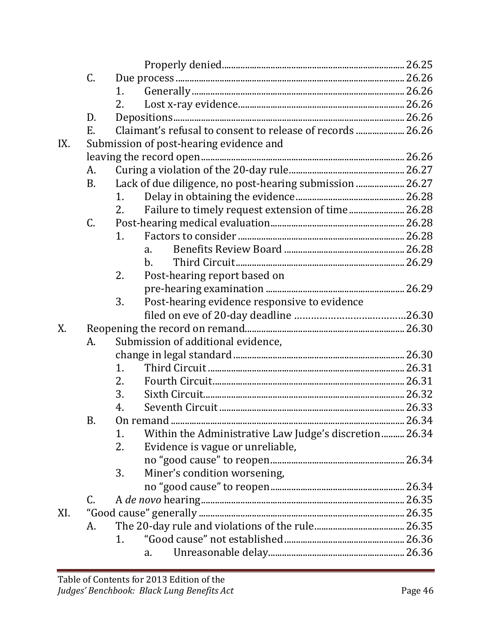|     | C.        |                |                                                            |  |
|-----|-----------|----------------|------------------------------------------------------------|--|
|     |           | 1.             |                                                            |  |
|     |           | 2.             |                                                            |  |
|     | D.        |                |                                                            |  |
|     | Ε.        |                | Claimant's refusal to consent to release of records  26.26 |  |
| IX. |           |                | Submission of post-hearing evidence and                    |  |
|     |           |                |                                                            |  |
|     | A.        |                |                                                            |  |
|     | <b>B.</b> |                | Lack of due diligence, no post-hearing submission  26.27   |  |
|     |           | 1 <sub>1</sub> |                                                            |  |
|     |           | 2.             | Failure to timely request extension of time 26.28          |  |
|     | C.        |                |                                                            |  |
|     |           | 1.             |                                                            |  |
|     |           |                | $a_{\cdot}$                                                |  |
|     |           |                | $b$ .                                                      |  |
|     |           | 2.             | Post-hearing report based on                               |  |
|     |           |                |                                                            |  |
|     |           | 3.             | Post-hearing evidence responsive to evidence               |  |
|     |           |                |                                                            |  |
| X.  |           |                |                                                            |  |
|     | А.        |                | Submission of additional evidence,                         |  |
|     |           |                |                                                            |  |
|     |           | 1.             |                                                            |  |
|     |           | 2.             |                                                            |  |
|     |           | 3.             |                                                            |  |
|     |           | 4.             |                                                            |  |
|     | Β.        |                |                                                            |  |
|     |           | 1.             | Within the Administrative Law Judge's discretion 26.34     |  |
|     |           | 2.             | Evidence is vague or unreliable,                           |  |
|     |           |                |                                                            |  |
|     |           | 3.             | Miner's condition worsening,                               |  |
|     |           |                |                                                            |  |
|     | C.        |                |                                                            |  |
| XI. |           |                |                                                            |  |
|     | A.        |                |                                                            |  |
|     |           | 1.             |                                                            |  |
|     |           |                | a.                                                         |  |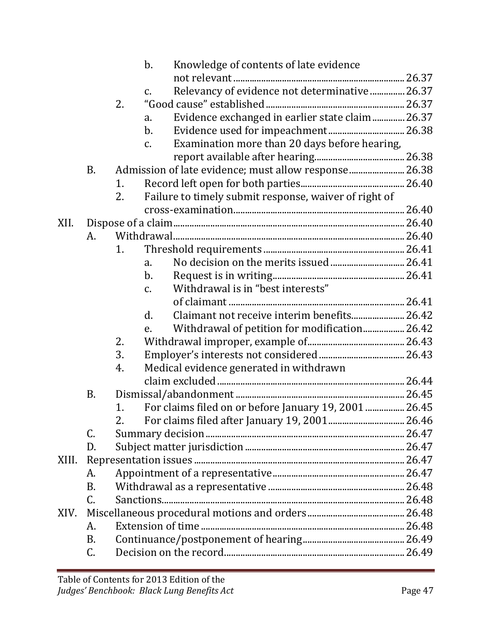|       |           |    | $\mathbf b$ .  | Knowledge of contents of late evidence                |  |
|-------|-----------|----|----------------|-------------------------------------------------------|--|
|       |           |    |                |                                                       |  |
|       |           |    | $C_{\bullet}$  | Relevancy of evidence not determinative  26.37        |  |
|       |           | 2. |                |                                                       |  |
|       |           |    | a.             | Evidence exchanged in earlier state claim 26.37       |  |
|       |           |    | $\mathbf b$ .  |                                                       |  |
|       |           |    | $\mathbf{C}$ . | Examination more than 20 days before hearing,         |  |
|       |           |    |                |                                                       |  |
|       | <b>B.</b> |    |                | Admission of late evidence; must allow response 26.38 |  |
|       |           | 1. |                |                                                       |  |
|       |           | 2. |                | Failure to timely submit response, waiver of right of |  |
|       |           |    |                |                                                       |  |
| XII.  |           |    |                |                                                       |  |
|       | А.        |    |                |                                                       |  |
|       |           | 1. |                |                                                       |  |
|       |           |    | a.             |                                                       |  |
|       |           |    | $\mathbf b$ .  |                                                       |  |
|       |           |    | $\mathbf{C}$ . | Withdrawal is in "best interests"                     |  |
|       |           |    |                |                                                       |  |
|       |           |    | d.             | Claimant not receive interim benefits 26.42           |  |
|       |           |    | e.             | Withdrawal of petition for modification 26.42         |  |
|       |           | 2. |                |                                                       |  |
|       |           | 3. |                |                                                       |  |
|       |           | 4. |                | Medical evidence generated in withdrawn               |  |
|       |           |    |                |                                                       |  |
|       | <b>B.</b> |    |                |                                                       |  |
|       |           | 1. |                | For claims filed on or before January 19, 2001  26.45 |  |
|       |           |    |                |                                                       |  |
|       | C.        |    |                |                                                       |  |
|       | D.        |    |                |                                                       |  |
| XIII. |           |    |                |                                                       |  |
|       | A.        |    |                |                                                       |  |
|       | <b>B.</b> |    |                |                                                       |  |
|       | C.        |    |                |                                                       |  |
| XIV.  |           |    |                |                                                       |  |
|       | A.        |    |                |                                                       |  |
|       | B.        |    |                |                                                       |  |
|       | C.        |    |                |                                                       |  |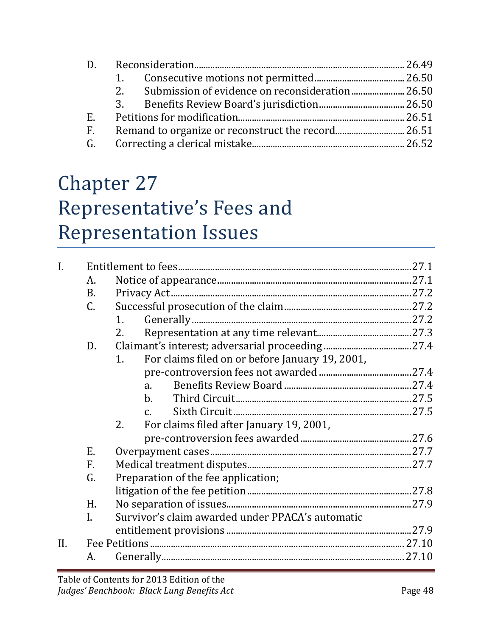| $D_{\rm g}$ |    |  |
|-------------|----|--|
|             |    |  |
|             | 2. |  |
|             | 3. |  |
| E.          |    |  |
| $F_{\tau}$  |    |  |
|             |    |  |
|             |    |  |

## Chapter 27 Representative's Fees and Representation Issues

| $\overline{I}$ . |                |                                                       |  |
|------------------|----------------|-------------------------------------------------------|--|
|                  | Α.             |                                                       |  |
|                  | <b>B.</b>      |                                                       |  |
|                  | $\mathsf{C}$ . |                                                       |  |
|                  |                | 1.                                                    |  |
|                  |                | 2.                                                    |  |
|                  | D.             |                                                       |  |
|                  |                | For claims filed on or before January 19, 2001,<br>1. |  |
|                  |                |                                                       |  |
|                  |                | a.                                                    |  |
|                  |                | $\mathbf{b}$ .                                        |  |
|                  |                |                                                       |  |
|                  |                | For claims filed after January 19, 2001,<br>2.        |  |
|                  |                |                                                       |  |
|                  | E.             |                                                       |  |
|                  | F.             |                                                       |  |
|                  | G.             | Preparation of the fee application;                   |  |
|                  |                |                                                       |  |
|                  | H.             |                                                       |  |
|                  | I.             | Survivor's claim awarded under PPACA's automatic      |  |
|                  |                |                                                       |  |
| II.              |                |                                                       |  |
|                  | А.             |                                                       |  |
|                  |                |                                                       |  |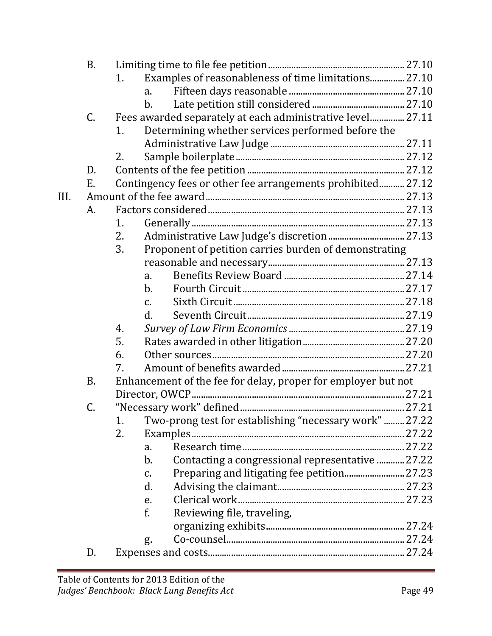|      | <b>B.</b> |                                                               |  |  |  |  |
|------|-----------|---------------------------------------------------------------|--|--|--|--|
|      |           | Examples of reasonableness of time limitations 27.10<br>1.    |  |  |  |  |
|      |           | a.                                                            |  |  |  |  |
|      |           | b.                                                            |  |  |  |  |
|      | C.        | Fees awarded separately at each administrative level 27.11    |  |  |  |  |
|      |           | Determining whether services performed before the<br>1.       |  |  |  |  |
|      |           |                                                               |  |  |  |  |
|      |           | 2.                                                            |  |  |  |  |
|      | D.        |                                                               |  |  |  |  |
|      | Ε.        | Contingency fees or other fee arrangements prohibited 27.12   |  |  |  |  |
| III. |           |                                                               |  |  |  |  |
|      | A.        |                                                               |  |  |  |  |
|      |           | 1.                                                            |  |  |  |  |
|      |           | Administrative Law Judge's discretion  27.13<br>2.            |  |  |  |  |
|      |           | 3.<br>Proponent of petition carries burden of demonstrating   |  |  |  |  |
|      |           |                                                               |  |  |  |  |
|      |           | a.                                                            |  |  |  |  |
|      |           | $\mathbf{b}$ .                                                |  |  |  |  |
|      |           | $\mathsf{C}$ .                                                |  |  |  |  |
|      |           | d.                                                            |  |  |  |  |
|      |           | 4.                                                            |  |  |  |  |
|      |           | 5.                                                            |  |  |  |  |
|      |           | 6.                                                            |  |  |  |  |
|      |           | 7.                                                            |  |  |  |  |
|      | <b>B.</b> | Enhancement of the fee for delay, proper for employer but not |  |  |  |  |
|      |           |                                                               |  |  |  |  |
|      | C.        |                                                               |  |  |  |  |
|      |           | Two-prong test for establishing "necessary work"  27.22<br>1. |  |  |  |  |
|      |           | 2.                                                            |  |  |  |  |
|      |           | a.                                                            |  |  |  |  |
|      |           | Contacting a congressional representative  27.22<br>$b$ .     |  |  |  |  |
|      |           | c.                                                            |  |  |  |  |
|      |           | d.                                                            |  |  |  |  |
|      |           | e.                                                            |  |  |  |  |
|      |           | f.<br>Reviewing file, traveling,                              |  |  |  |  |
|      |           |                                                               |  |  |  |  |
|      |           | g.                                                            |  |  |  |  |
|      | D.        |                                                               |  |  |  |  |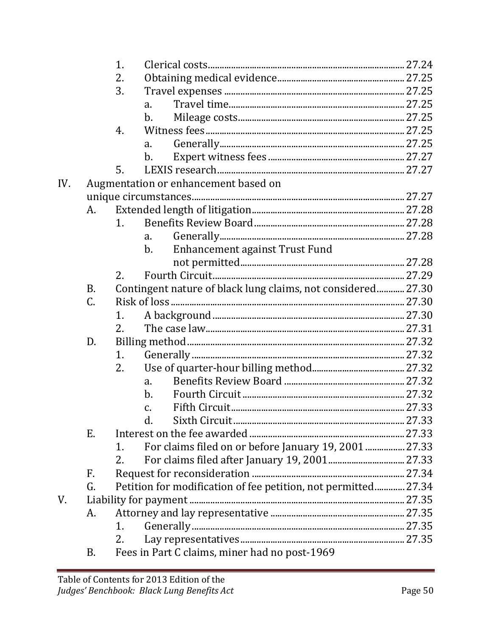|     |                 | 1. |                 |                                                                |  |
|-----|-----------------|----|-----------------|----------------------------------------------------------------|--|
|     |                 | 2. |                 |                                                                |  |
|     |                 | 3. |                 |                                                                |  |
|     |                 |    | a.              |                                                                |  |
|     |                 |    | b.              |                                                                |  |
|     |                 | 4. |                 |                                                                |  |
|     |                 |    | a.              |                                                                |  |
|     |                 |    | $b$             |                                                                |  |
|     |                 | 5. |                 |                                                                |  |
| IV. |                 |    |                 | Augmentation or enhancement based on                           |  |
|     |                 |    |                 |                                                                |  |
|     | A.              |    |                 |                                                                |  |
|     |                 | 1. |                 |                                                                |  |
|     |                 |    | a.              |                                                                |  |
|     |                 |    | $b$ .           | Enhancement against Trust Fund                                 |  |
|     |                 |    |                 |                                                                |  |
|     |                 | 2. |                 |                                                                |  |
|     | <b>B.</b>       |    |                 | Contingent nature of black lung claims, not considered 27.30   |  |
|     | $\mathcal{C}$ . |    |                 |                                                                |  |
|     |                 | 1. |                 |                                                                |  |
|     |                 | 2. |                 |                                                                |  |
|     | D.              |    |                 |                                                                |  |
|     |                 | 1. |                 |                                                                |  |
|     |                 | 2. |                 |                                                                |  |
|     |                 |    | a.              |                                                                |  |
|     |                 |    | $\mathbf b$ .   |                                                                |  |
|     |                 |    | $\mathcal{C}$ . |                                                                |  |
|     |                 |    | d.              |                                                                |  |
|     | Е.              |    |                 |                                                                |  |
|     |                 | 1. |                 | For claims filed on or before January 19, 2001  27.33          |  |
|     |                 | 2. |                 |                                                                |  |
|     | F.              |    |                 |                                                                |  |
|     | G.              |    |                 | Petition for modification of fee petition, not permitted 27.34 |  |
| V.  |                 |    |                 |                                                                |  |
|     | A.              |    |                 |                                                                |  |
|     |                 | 1. |                 |                                                                |  |
|     |                 | 2. |                 |                                                                |  |
|     | B.              |    |                 | Fees in Part C claims, miner had no post-1969                  |  |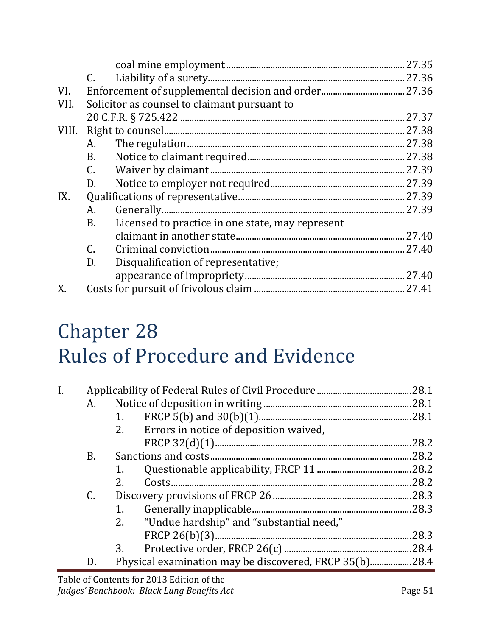|       | $C_{\cdot}$ |                                                  |        |
|-------|-------------|--------------------------------------------------|--------|
| VI.   |             |                                                  |        |
| VII.  |             | Solicitor as counsel to claimant pursuant to     |        |
|       |             |                                                  | .27.37 |
| VIII. |             |                                                  |        |
|       | A.          |                                                  |        |
|       | B.          |                                                  |        |
|       | C.          |                                                  |        |
|       | D.          |                                                  |        |
| IX.   |             |                                                  |        |
|       | A.          |                                                  |        |
|       | <b>B.</b>   | Licensed to practice in one state, may represent |        |
|       |             |                                                  |        |
|       | $C_{\cdot}$ |                                                  |        |
|       | D.          | Disqualification of representative;              |        |
|       |             |                                                  |        |
|       |             |                                                  |        |

## Chapter 28 Rules of Procedure and Evidence

| I. |    |    |                                                                                 |       |
|----|----|----|---------------------------------------------------------------------------------|-------|
|    | A. |    |                                                                                 |       |
|    |    | 1. |                                                                                 |       |
|    |    | 2. | Errors in notice of deposition waived,                                          |       |
|    |    |    |                                                                                 | .28.2 |
|    | B. |    |                                                                                 | .28.2 |
|    |    |    |                                                                                 |       |
|    |    | 2. |                                                                                 | .28.2 |
|    | C. |    |                                                                                 | 28.3  |
|    |    | 1. |                                                                                 | .28.3 |
|    |    | 2. | "Undue hardship" and "substantial need,"                                        |       |
|    |    |    |                                                                                 | 28.3  |
|    |    | 3. |                                                                                 |       |
|    | D. |    | Physical examination may be discovered, FRCP 35(b)28.4                          |       |
|    |    |    | $\mathbb{R}$ ii $\mathbb{R}$ . $\mathbb{R}$ 0040 $\mathbb{R}$ ii $\mathbb{R}$ . |       |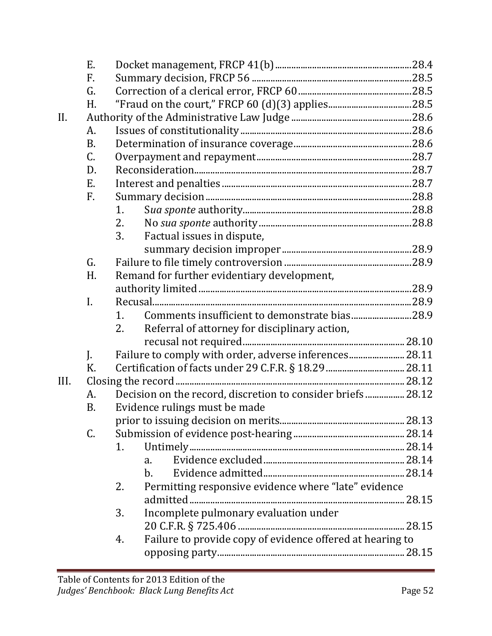|      | E.             |                                                                 |  |
|------|----------------|-----------------------------------------------------------------|--|
|      | F.             |                                                                 |  |
|      | G.             |                                                                 |  |
|      | H.             |                                                                 |  |
| II.  |                |                                                                 |  |
|      | А.             |                                                                 |  |
|      | <b>B.</b>      |                                                                 |  |
|      | C.             |                                                                 |  |
|      | D.             |                                                                 |  |
|      | E.             |                                                                 |  |
|      | F.             |                                                                 |  |
|      |                | 1.                                                              |  |
|      |                | 2.                                                              |  |
|      |                | 3.<br>Factual issues in dispute,                                |  |
|      |                |                                                                 |  |
|      | G.             |                                                                 |  |
|      | H.             | Remand for further evidentiary development,                     |  |
|      |                |                                                                 |  |
|      | $\mathbf{I}$ . |                                                                 |  |
|      |                | Comments insufficient to demonstrate bias28.9<br>1.             |  |
|      |                | 2.<br>Referral of attorney for disciplinary action,             |  |
|      |                |                                                                 |  |
|      | J.             | Failure to comply with order, adverse inferences28.11           |  |
|      | K.             |                                                                 |  |
| III. |                |                                                                 |  |
|      | A.             | Decision on the record, discretion to consider briefs 28.12     |  |
|      | <b>B.</b>      | Evidence rulings must be made                                   |  |
|      |                |                                                                 |  |
|      | C.             |                                                                 |  |
|      |                | 1.                                                              |  |
|      |                | a.                                                              |  |
|      |                | b.                                                              |  |
|      |                | Permitting responsive evidence where "late" evidence<br>2.      |  |
|      |                |                                                                 |  |
|      |                | Incomplete pulmonary evaluation under<br>3.                     |  |
|      |                |                                                                 |  |
|      |                | Failure to provide copy of evidence offered at hearing to<br>4. |  |
|      |                |                                                                 |  |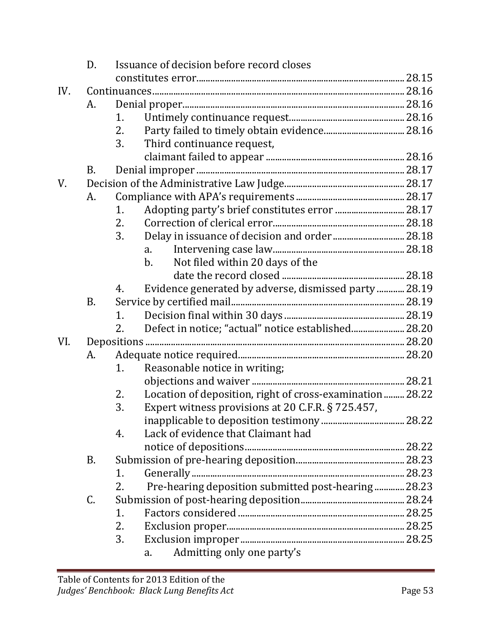|     | Issuance of decision before record closes<br>D. |    |                                                          |  |  |
|-----|-------------------------------------------------|----|----------------------------------------------------------|--|--|
|     |                                                 |    |                                                          |  |  |
| IV. |                                                 |    |                                                          |  |  |
|     | А.                                              |    |                                                          |  |  |
|     |                                                 | 1. |                                                          |  |  |
|     |                                                 | 2. |                                                          |  |  |
|     |                                                 | 3. | Third continuance request,                               |  |  |
|     |                                                 |    |                                                          |  |  |
|     | B.                                              |    |                                                          |  |  |
| V.  |                                                 |    |                                                          |  |  |
|     | A.                                              |    |                                                          |  |  |
|     |                                                 | 1. | Adopting party's brief constitutes error  28.17          |  |  |
|     |                                                 | 2. |                                                          |  |  |
|     |                                                 | 3. |                                                          |  |  |
|     |                                                 |    | a.                                                       |  |  |
|     |                                                 |    | Not filed within 20 days of the<br>$\mathbf{b}$ .        |  |  |
|     |                                                 |    |                                                          |  |  |
|     |                                                 | 4. | Evidence generated by adverse, dismissed party  28.19    |  |  |
|     | <b>B.</b>                                       |    |                                                          |  |  |
|     |                                                 | 1. |                                                          |  |  |
|     |                                                 | 2. | Defect in notice; "actual" notice established 28.20      |  |  |
| VI. |                                                 |    |                                                          |  |  |
|     | A.                                              |    |                                                          |  |  |
|     |                                                 | 1. | Reasonable notice in writing;                            |  |  |
|     |                                                 |    |                                                          |  |  |
|     |                                                 | 2. | Location of deposition, right of cross-examination 28.22 |  |  |
|     |                                                 | 3. | Expert witness provisions at 20 C.F.R. § 725.457,        |  |  |
|     |                                                 |    |                                                          |  |  |
|     |                                                 | 4. | Lack of evidence that Claimant had                       |  |  |
|     |                                                 |    |                                                          |  |  |
|     | B.                                              |    |                                                          |  |  |
|     |                                                 | 1. |                                                          |  |  |
|     |                                                 | 2. | Pre-hearing deposition submitted post-hearing 28.23      |  |  |
|     | C.                                              |    |                                                          |  |  |
|     |                                                 | 1. |                                                          |  |  |
|     |                                                 | 2. |                                                          |  |  |
|     |                                                 | 3. |                                                          |  |  |
|     |                                                 |    | Admitting only one party's<br>a.                         |  |  |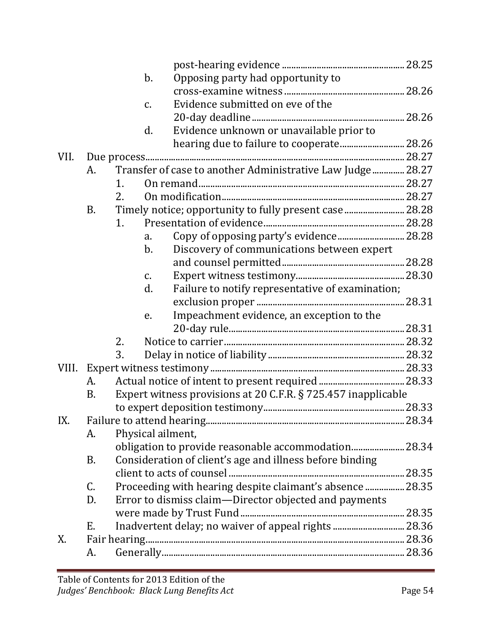|       |           |                | $b$ .             | Opposing party had opportunity to                             |  |
|-------|-----------|----------------|-------------------|---------------------------------------------------------------|--|
|       |           |                |                   |                                                               |  |
|       |           |                | $C_{\bullet}$     | Evidence submitted on eve of the                              |  |
|       |           |                |                   |                                                               |  |
|       |           |                | d.                | Evidence unknown or unavailable prior to                      |  |
|       |           |                |                   |                                                               |  |
| VII.  |           |                |                   |                                                               |  |
|       | А.        |                |                   | Transfer of case to another Administrative Law Judge 28.27    |  |
|       |           | $\mathbf{1}$ . |                   |                                                               |  |
|       |           | 2.             |                   |                                                               |  |
|       | <b>B.</b> |                |                   | Timely notice; opportunity to fully present case 28.28        |  |
|       |           | 1.             |                   |                                                               |  |
|       |           |                | a.                | Copy of opposing party's evidence 28.28                       |  |
|       |           |                | b.                | Discovery of communications between expert                    |  |
|       |           |                |                   |                                                               |  |
|       |           |                | $C_{\bullet}$     |                                                               |  |
|       |           |                | d.                | Failure to notify representative of examination;              |  |
|       |           |                |                   |                                                               |  |
|       |           |                | e.                | Impeachment evidence, an exception to the                     |  |
|       |           |                |                   |                                                               |  |
|       |           | 2.             |                   |                                                               |  |
|       |           | 3.             |                   |                                                               |  |
| VIII. |           |                |                   |                                                               |  |
|       | А.        |                |                   |                                                               |  |
|       | <b>B.</b> |                |                   | Expert witness provisions at 20 C.F.R. § 725.457 inapplicable |  |
|       |           |                |                   |                                                               |  |
| IX.   |           |                |                   |                                                               |  |
|       | A.        |                | Physical ailment, |                                                               |  |
|       |           |                |                   |                                                               |  |
|       | B.        |                |                   | Consideration of client's age and illness before binding      |  |
|       |           |                |                   |                                                               |  |
|       | C.        |                |                   | Proceeding with hearing despite claimant's absence  28.35     |  |
|       | D.        |                |                   | Error to dismiss claim-Director objected and payments         |  |
|       |           |                |                   |                                                               |  |
|       | Ε.        |                |                   | Inadvertent delay; no waiver of appeal rights  28.36          |  |
| X.    |           |                |                   |                                                               |  |
|       | А.        |                |                   |                                                               |  |
|       |           |                |                   |                                                               |  |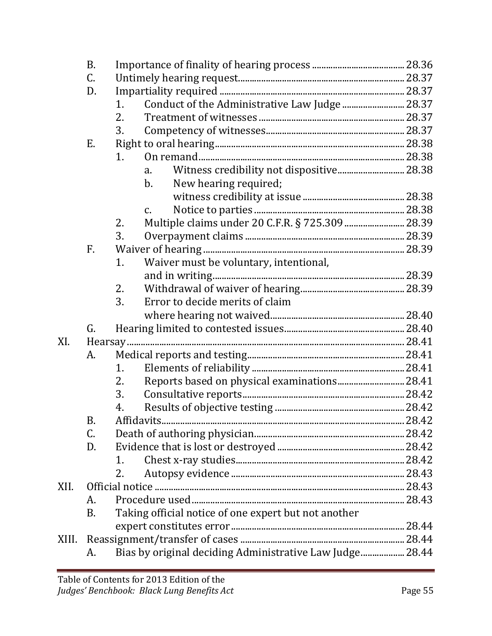|       | <b>B.</b> |    |                                                          |  |
|-------|-----------|----|----------------------------------------------------------|--|
|       | C.        |    |                                                          |  |
|       | D.        |    |                                                          |  |
|       |           | 1. | Conduct of the Administrative Law Judge  28.37           |  |
|       |           | 2. |                                                          |  |
|       |           | 3. |                                                          |  |
|       | Е.        |    |                                                          |  |
|       |           | 1. |                                                          |  |
|       |           |    | a.                                                       |  |
|       |           |    | $\mathbf b$ .<br>New hearing required;                   |  |
|       |           |    |                                                          |  |
|       |           |    | $\mathsf{C}$ .                                           |  |
|       |           | 2. | Multiple claims under 20 C.F.R. § 725.309  28.39         |  |
|       |           | 3. |                                                          |  |
|       | F.        |    |                                                          |  |
|       |           | 1. | Waiver must be voluntary, intentional,                   |  |
|       |           |    |                                                          |  |
|       |           | 2. |                                                          |  |
|       |           | 3. | Error to decide merits of claim                          |  |
|       |           |    |                                                          |  |
|       | G.        |    |                                                          |  |
| XI.   |           |    |                                                          |  |
|       | A.        |    |                                                          |  |
|       |           | 1. |                                                          |  |
|       |           | 2. | Reports based on physical examinations 28.41             |  |
|       |           | 3. |                                                          |  |
|       |           | 4. |                                                          |  |
|       | B.        |    |                                                          |  |
|       | C.        |    |                                                          |  |
|       | D.        |    |                                                          |  |
|       |           | 1. |                                                          |  |
|       |           | 2. |                                                          |  |
| XII.  |           |    |                                                          |  |
|       | А.        |    |                                                          |  |
|       | <b>B.</b> |    | Taking official notice of one expert but not another     |  |
|       |           |    |                                                          |  |
| XIII. |           |    |                                                          |  |
|       | A.        |    | Bias by original deciding Administrative Law Judge 28.44 |  |
|       |           |    |                                                          |  |